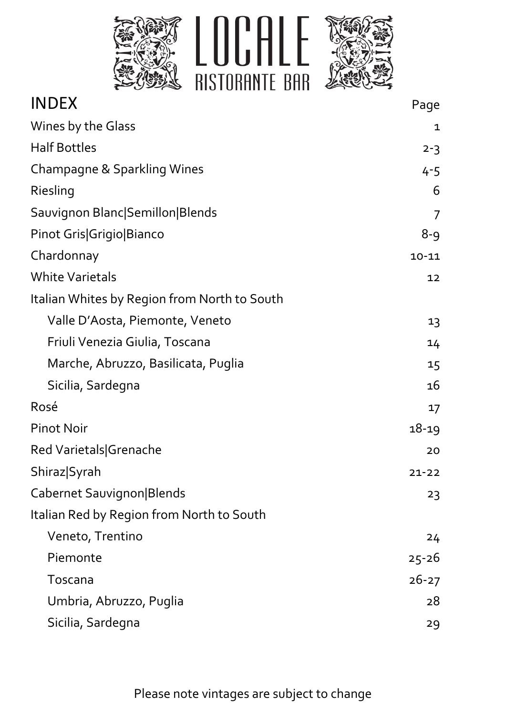

| <b>INDEX</b>                                 | Page           |
|----------------------------------------------|----------------|
| Wines by the Glass                           | 1              |
| <b>Half Bottles</b>                          | $2 - 3$        |
| Champagne & Sparkling Wines                  | 4-5            |
| Riesling                                     | 6              |
| Sauvignon Blanc Semillon Blends              | $\overline{7}$ |
| Pinot Gris Grigio Bianco                     | $8 - 9$        |
| Chardonnay                                   | $10 - 11$      |
| <b>White Varietals</b>                       | 12             |
| Italian Whites by Region from North to South |                |
| Valle D'Aosta, Piemonte, Veneto              | 13             |
| Friuli Venezia Giulia, Toscana               | 14             |
| Marche, Abruzzo, Basilicata, Puglia          | 15             |
| Sicilia, Sardegna                            | 16             |
| Rosé                                         | 17             |
| <b>Pinot Noir</b>                            | $18 - 19$      |
| Red Varietals Grenache                       | 20             |
| Shiraz Syrah                                 | $21 - 22$      |
| Cabernet Sauvignon Blends                    | 23             |
| Italian Red by Region from North to South    |                |
| Veneto, Trentino                             | 24             |
| Piemonte                                     | $25 - 26$      |
| Toscana                                      | $26 - 27$      |
| Umbria, Abruzzo, Puglia                      | 28             |
| Sicilia, Sardegna                            | 29             |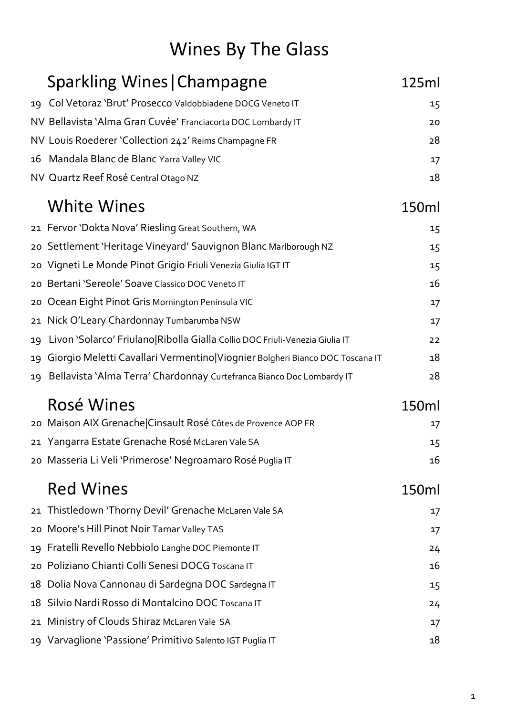# Wines By The Glass

|    | <b>Sparkling Wines   Champagne</b>                                           | 125ml |
|----|------------------------------------------------------------------------------|-------|
| 19 | Col Vetoraz 'Brut' Prosecco Valdobbiadene DOCG Veneto IT                     | 15    |
|    | NV Bellavista 'Alma Gran Cuvée' Franciacorta DOC Lombardy IT                 | 20    |
|    | NV Louis Roederer 'Collection 242' Reims Champagne FR                        | 28    |
| 16 | Mandala Blanc de Blanc Yarra Valley VIC                                      | 17    |
|    | NV Quartz Reef Rosé Central Otago NZ                                         | 18    |
|    | <b>White Wines</b>                                                           | 150ml |
|    | 21 Fervor 'Dokta Nova' Riesling Great Southern, WA                           | 15    |
| 20 | Settlement 'Heritage Vineyard' Sauvignon Blanc Marlborough NZ                | 15    |
| 20 | Vigneti Le Monde Pinot Grigio Friuli Venezia Giulia IGT IT                   | 15    |
| 20 | Bertani 'Sereole' Soave Classico DOC Veneto IT                               | 16    |
| 20 | Ocean Eight Pinot Gris Mornington Peninsula VIC                              | 17    |
| 21 | Nick O'Leary Chardonnay Tumbarumba NSW                                       | 17    |
| 19 | Livon 'Solarco' Friulano Ribolla Gialla Collio DOC Friuli-Venezia Giulia IT  | 22    |
| 19 | Giorgio Meletti Cavallari Vermentino Viognier Bolgheri Bianco DOC Toscana IT | 18    |
|    | 19 Bellavista 'Alma Terra' Chardonnay Curtefranca Bianco Doc Lombardy IT     | 28    |
|    | Rosé Wines                                                                   | 150ml |
|    | 20 Maison AIX Grenache Cinsault Rosé Côtes de Provence AOP FR                | 17    |
|    | 21 Yangarra Estate Grenache Rosé McLaren Vale SA                             | 15    |
|    | 20 Masseria Li Veli 'Primerose' Negroamaro Rosé Puglia IT                    | 16    |
|    | <b>Red Wines</b>                                                             | 150ml |
| 21 | Thistledown 'Thorny Devil' Grenache McLaren Vale SA                          | 17    |
| 20 | Moore's Hill Pinot Noir Tamar Valley TAS                                     | 17    |
| 19 | Fratelli Revello Nebbiolo Langhe DOC Piemonte IT                             | 24    |
| 20 | Poliziano Chianti Colli Senesi DOCG Toscana IT                               | 16    |
| 18 | Dolia Nova Cannonau di Sardegna DOC Sardegna IT                              | 15    |
| 18 | Silvio Nardi Rosso di Montalcino DOC Toscana IT                              | 24    |
| 21 | Ministry of Clouds Shiraz McLaren Vale SA                                    | 17    |
|    | 19 Varvaglione 'Passione' Primitivo Salento IGT Puglia IT                    | 18    |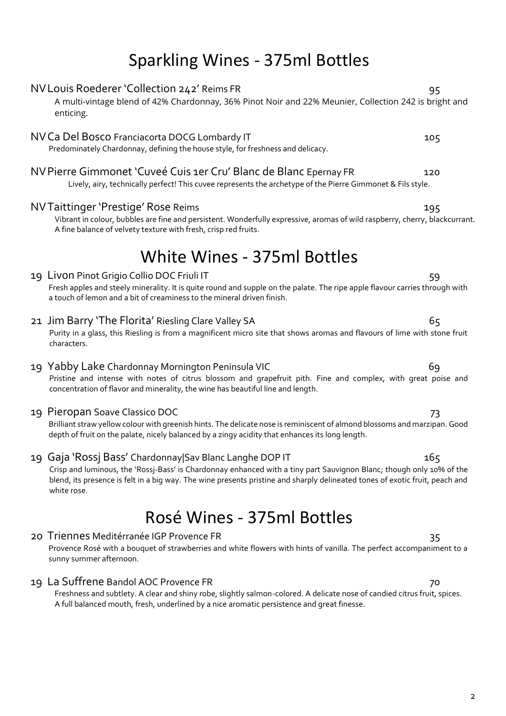# Sparkling Wines - 375ml Bottles

A multi-vintage blend of 42% Chardonnay, 36% Pinot Noir and 22% Meunier, Collection 242 is bright and

NV Louis Roederer 'Collection 242' Reims FR 95

# enticing. NV Ca Del Bosco Franciacorta DOCG Lombardy IT 105 Predominately Chardonnay, defining the house style, for freshness and delicacy. NVPierre Gimmonet 'Cuveé Cuis 1er Cru' Blanc de Blanc Epernay FR 120 Lively, airy, technically perfect! This cuvee represents the archetype of the Pierre Gimmonet & Fils style. NVTaittinger 'Prestige' Rose Reims 195 Vibrant in colour, bubbles are fine and persistent. Wonderfully expressive, aromas of wild raspberry, cherry, blackcurrant. A fine balance of velvety texture with fresh, crisp red fruits. White Wines - 375ml Bottles 19 Livon Pinot Grigio Collio DOC Friuli IT 59 Fresh apples and steely minerality. It is quite round and supple on the palate. The ripe apple flavour carries through with a touch of lemon and a bit of creaminess to the mineral driven finish. 21 Jim Barry 'The Florita' Riesling Clare Valley SA 65 Purity in a glass, this Riesling is from a magnificent micro site that shows aromas and flavours of lime with stone fruit characters. 19 Yabby Lake Chardonnay Mornington Peninsula VIC 19 Yabby Lake Chardonnay Mornington Peninsula VIC Pristine and intense with notes of citrus blossom and grapefruit pith. Fine and complex, with great poise and concentration of flavor and minerality, the wine has beautiful line and length. 19 Pieropan Soave Classico DOC 73 Brilliant straw yellow colour with greenish hints. The delicate nose is reminiscent of almond blossoms and marzipan. Good depth of fruit on the palate, nicely balanced by a zingy acidity that enhances its long length. 19 Gaja 'Rossj Bass' Chardonnay|Sav Blanc Langhe DOP IT 165 Crisp and luminous, the 'Rossj-Bass' is Chardonnay enhanced with a tiny part Sauvignon Blanc; though only 10% of the blend, its presence is felt in a big way. The wine presents pristine and sharply delineated tones of exotic fruit, peach and white rose.

# Rosé Wines - 375ml Bottles

## 20 Triennes Meditérranée IGP Provence FR 35

Provence Rosé with a bouquet of strawberries and white flowers with hints of vanilla. The perfect accompaniment to a sunny summer afternoon.

## 19 La Suffrene Bandol AOC Provence FR 70

Freshness and subtlety. A clear and shiny robe, slightly salmon-colored. A delicate nose of candied citrus fruit, spices. A full balanced mouth, fresh, underlined by a nice aromatic persistence and great finesse.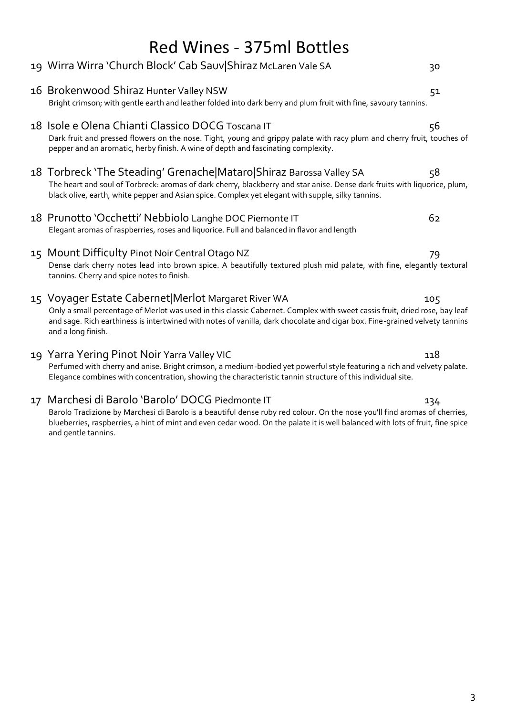| <b>Red Wines - 375ml Bottles</b>                                                                                                                                                                                                                                                                                                      |     |  |
|---------------------------------------------------------------------------------------------------------------------------------------------------------------------------------------------------------------------------------------------------------------------------------------------------------------------------------------|-----|--|
| 19 Wirra Wirra 'Church Block' Cab Sauv Shiraz McLaren Vale SA                                                                                                                                                                                                                                                                         | 30  |  |
| 16 Brokenwood Shiraz Hunter Valley NSW<br>Bright crimson; with gentle earth and leather folded into dark berry and plum fruit with fine, savoury tannins.                                                                                                                                                                             | 51  |  |
| 18 Isole e Olena Chianti Classico DOCG Toscana IT<br>Dark fruit and pressed flowers on the nose. Tight, young and grippy palate with racy plum and cherry fruit, touches of<br>pepper and an aromatic, herby finish. A wine of depth and fascinating complexity.                                                                      | 56  |  |
| 18 Torbreck 'The Steading' Grenache Mataro Shiraz Barossa Valley SA<br>The heart and soul of Torbreck: aromas of dark cherry, blackberry and star anise. Dense dark fruits with liquorice, plum,<br>black olive, earth, white pepper and Asian spice. Complex yet elegant with supple, silky tannins.                                 | 58  |  |
| 18 Prunotto 'Occhetti' Nebbiolo Langhe DOC Piemonte IT<br>Elegant aromas of raspberries, roses and liquorice. Full and balanced in flavor and length                                                                                                                                                                                  | 62  |  |
| 15 Mount Difficulty Pinot Noir Central Otago NZ<br>Dense dark cherry notes lead into brown spice. A beautifully textured plush mid palate, with fine, elegantly textural<br>tannins. Cherry and spice notes to finish.                                                                                                                | 79  |  |
| 15 Voyager Estate Cabernet Merlot Margaret River WA<br>Only a small percentage of Merlot was used in this classic Cabernet. Complex with sweet cassis fruit, dried rose, bay leaf<br>and sage. Rich earthiness is intertwined with notes of vanilla, dark chocolate and cigar box. Fine-grained velvety tannins<br>and a long finish. | 105 |  |
| 19 Yarra Yering Pinot Noir Yarra Valley VIC<br>Perfumed with cherry and anise. Bright crimson, a medium-bodied yet powerful style featuring a rich and velvety palate.<br>Elegance combines with concentration, showing the characteristic tannin structure of this individual site.                                                  | 118 |  |
| 17 Marchesi di Barolo 'Barolo' DOCG Piedmonte IT                                                                                                                                                                                                                                                                                      | 134 |  |

Barolo Tradizione by Marchesi di Barolo is a beautiful dense ruby red colour. On the nose you'll find aromas of cherries, blueberries, raspberries, a hint of mint and even cedar wood. On the palate it is well balanced with lots of fruit, fine spice and gentle tannins.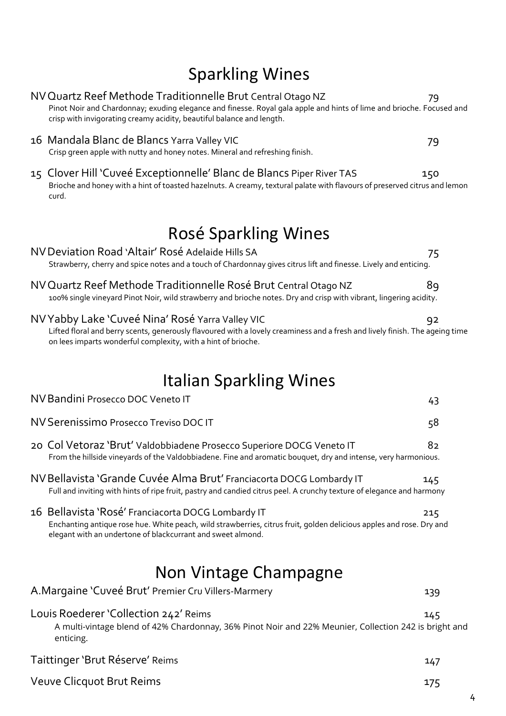# Sparkling Wines

| NV Quartz Reef Methode Traditionnelle Brut Central Otago NZ<br>Pinot Noir and Chardonnay; exuding elegance and finesse. Royal gala apple and hints of lime and brioche. Focused and<br>crisp with invigorating creamy acidity, beautiful balance and length. | 79  |  |
|--------------------------------------------------------------------------------------------------------------------------------------------------------------------------------------------------------------------------------------------------------------|-----|--|
| 16 Mandala Blanc de Blancs Yarra Valley VIC<br>Crisp green apple with nutty and honey notes. Mineral and refreshing finish.                                                                                                                                  | 79  |  |
| 15 Clover Hill 'Cuveé Exceptionnelle' Blanc de Blancs Piper River TAS<br>Brioche and honey with a hint of toasted hazelnuts. A creamy, textural palate with flavours of preserved citrus and lemon<br>curd.                                                  | 150 |  |
| Rosé Sparkling Wines                                                                                                                                                                                                                                         |     |  |
| NV Deviation Road 'Altair' Rosé Adelaide Hills SA<br>Strawberry, cherry and spice notes and a touch of Chardonnay gives citrus lift and finesse. Lively and enticing.                                                                                        | 75  |  |
| NV Quartz Reef Methode Traditionnelle Rosé Brut Central Otago NZ<br>100% single vineyard Pinot Noir, wild strawberry and brioche notes. Dry and crisp with vibrant, lingering acidity.                                                                       | 89  |  |
| NV Yabby Lake 'Cuveé Nina' Rosé Yarra Valley VIC<br>Lifted floral and berry scents, generously flavoured with a lovely creaminess and a fresh and lively finish. The ageing time<br>on lees imparts wonderful complexity, with a hint of brioche.            | 92  |  |
| <b>Italian Sparkling Wines</b>                                                                                                                                                                                                                               |     |  |
| NV Bandini Prosecco DOC Veneto IT                                                                                                                                                                                                                            | 43  |  |
| NV Serenissimo Prosecco Treviso DOC IT                                                                                                                                                                                                                       | 58  |  |
| 20 Col Vetoraz 'Brut' Valdobbiadene Prosecco Superiore DOCG Veneto IT<br>From the hillside vineyards of the Valdobbiadene. Fine and aromatic bouquet, dry and intense, very harmonious.                                                                      | 82  |  |
| NV Bellavista 'Grande Cuvée Alma Brut' Franciacorta DOCG Lombardy IT<br>Full and inviting with hints of ripe fruit, pastry and candied citrus peel. A crunchy texture of elegance and harmony                                                                | 145 |  |
| 16 Bellavista 'Rosé' Franciacorta DOCG Lombardy IT<br>Enchanting antique rose hue. White peach, wild strawberries, citrus fruit, golden delicious apples and rose. Dry and<br>elegant with an undertone of blackcurrant and sweet almond.                    | 215 |  |
| Non Vintage Champagne                                                                                                                                                                                                                                        |     |  |
| A.Margaine 'Cuveé Brut' Premier Cru Villers-Marmery                                                                                                                                                                                                          | 139 |  |
| Louis Roederer 'Collection 242' Reims<br>A multi-vintage blend of 42% Chardonnay, 36% Pinot Noir and 22% Meunier, Collection 242 is bright and<br>enticing.                                                                                                  | 145 |  |
| Taittinger 'Brut Réserve' Reims                                                                                                                                                                                                                              | 147 |  |
| Veuve Clicquot Brut Reims                                                                                                                                                                                                                                    | 175 |  |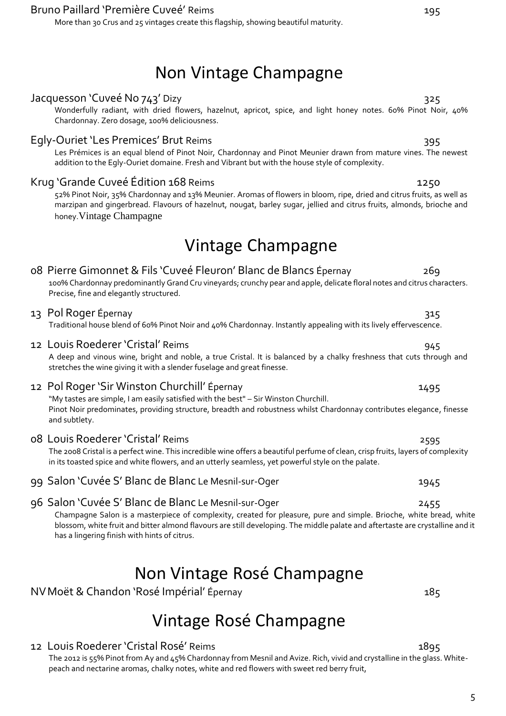## Bruno Paillard 'Première Cuveé' Reims 195

More than 30 Crus and 25 vintages create this flagship, showing beautiful maturity.

# Non Vintage Champagne

### Jacquesson 'Cuveé No 743' Dizy 325

Wonderfully radiant, with dried flowers, hazelnut, apricot, spice, and light honey notes. 60% Pinot Noir, 40% Chardonnay. Zero dosage, 100% deliciousness.

### Egly-Ouriet 'Les Premices' Brut Reims 395

Les Prémices is an equal blend of Pinot Noir, Chardonnay and Pinot Meunier drawn from mature vines. The newest addition to the Egly-Ouriet domaine. Fresh and Vibrant but with the house style of complexity.

### Krug 'Grande Cuveé Édition 168 Reims 1250

52% Pinot Noir, 35% Chardonnay and 13% Meunier. Aromas of flowers in bloom, ripe, dried and citrus fruits, as well as marzipan and gingerbread. Flavours of hazelnut, nougat, barley sugar, jellied and citrus fruits, almonds, brioche and honey.Vintage Champagne

# Vintage Champagne

# 08 Pierre Gimonnet & Fils 'Cuveé Fleuron' Blanc de Blancs Épernay 269

100% Chardonnay predominantly Grand Cru vineyards; crunchy pear and apple, delicate floral notes and citrus characters. Precise, fine and elegantly structured.

### 13 Pol Roger Épernay 315

### Traditional house blend of 60% Pinot Noir and 40% Chardonnay. Instantly appealing with its lively effervescence.

### 12 Louis Roederer 'Cristal' Reims **945** and the United States of the States of the States of the States of the S

A deep and vinous wine, bright and noble, a true Cristal. It is balanced by a chalky freshness that cuts through and stretches the wine giving it with a slender fuselage and great finesse.

## 12 Pol Roger 'Sir Winston Churchill' Épernay 1495

"My tastes are simple, I am easily satisfied with the best" – Sir Winston Churchill. Pinot Noir predominates, providing structure, breadth and robustness whilst Chardonnay contributes elegance, finesse and subtlety.

08 Louis Roederer 'Cristal' Reims 2595

The 2008 Cristal is a perfect wine. This incredible wine offers a beautiful perfume of clean, crisp fruits, layers of complexity in its toasted spice and white flowers, and an utterly seamless, yet powerful style on the palate.

99 Salon 'Cuvée S' Blanc de Blanc Le Mesnil-sur-Oger 1945

## 96 Salon 'Cuvée S' Blanc de Blanc Le Mesnil-sur-Oger 2455

Champagne Salon is a masterpiece of complexity, created for pleasure, pure and simple. Brioche, white bread, white blossom, white fruit and bitter almond flavours are still developing. The middle palate and aftertaste are crystalline and it has a lingering finish with hints of citrus.

# Non Vintage Rosé Champagne

NV Moët & Chandon 'Rosé Impérial' Épernay 185

# Vintage Rosé Champagne

12 Louis Roederer 'Cristal Rosé' Reims 1895

The 2012 is 55% Pinot from Ay and 45% Chardonnay from Mesnil and Avize. Rich, vivid and crystalline in the glass. Whitepeach and nectarine aromas, chalky notes, white and red flowers with sweet red berry fruit,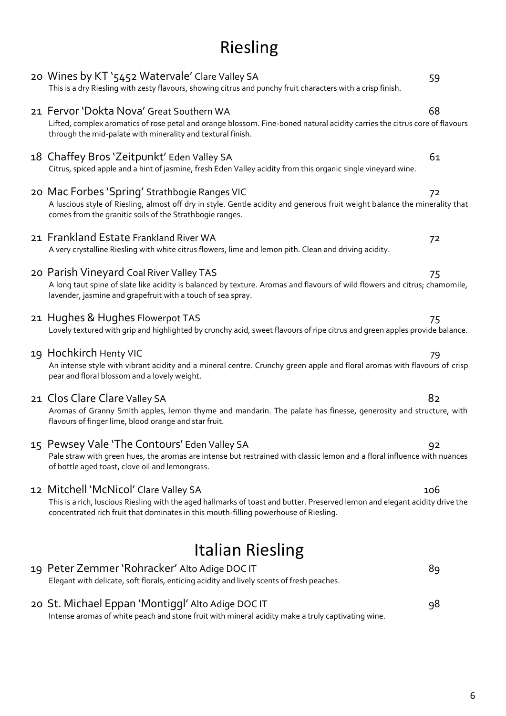# Riesling

| 20 St. Michael Eppan 'Montiggl' Alto Adige DOC IT<br>Intense aromas of white peach and stone fruit with mineral acidity make a truly captivating wine.                                                                                                        | 98  |  |
|---------------------------------------------------------------------------------------------------------------------------------------------------------------------------------------------------------------------------------------------------------------|-----|--|
| 19 Peter Zemmer 'Rohracker' Alto Adige DOC IT<br>Elegant with delicate, soft florals, enticing acidity and lively scents of fresh peaches.                                                                                                                    | 89  |  |
| <b>Italian Riesling</b>                                                                                                                                                                                                                                       |     |  |
| 12 Mitchell 'McNicol' Clare Valley SA<br>This is a rich, luscious Riesling with the aged hallmarks of toast and butter. Preserved lemon and elegant acidity drive the<br>concentrated rich fruit that dominates in this mouth-filling powerhouse of Riesling. | 106 |  |
| 15 Pewsey Vale 'The Contours' Eden Valley SA<br>Pale straw with green hues, the aromas are intense but restrained with classic lemon and a floral influence with nuances<br>of bottle aged toast, clove oil and lemongrass.                                   | 92  |  |
| 21 Clos Clare Clare Valley SA<br>Aromas of Granny Smith apples, lemon thyme and mandarin. The palate has finesse, generosity and structure, with<br>flavours of finger lime, blood orange and star fruit.                                                     | 82  |  |
| 19 Hochkirch Henty VIC<br>An intense style with vibrant acidity and a mineral centre. Crunchy green apple and floral aromas with flavours of crisp<br>pear and floral blossom and a lovely weight.                                                            | 79  |  |
| 21 Hughes & Hughes Flowerpot TAS<br>Lovely textured with grip and highlighted by crunchy acid, sweet flavours of ripe citrus and green apples provide balance.                                                                                                | 75  |  |
| 20 Parish Vineyard Coal River Valley TAS<br>A long taut spine of slate like acidity is balanced by texture. Aromas and flavours of wild flowers and citrus; chamomile,<br>lavender, jasmine and grapefruit with a touch of sea spray.                         | 75  |  |
| 21 Frankland Estate Frankland River WA<br>A very crystalline Riesling with white citrus flowers, lime and lemon pith. Clean and driving acidity.                                                                                                              | 72  |  |
| 20 Mac Forbes 'Spring' Strathbogie Ranges VIC<br>A luscious style of Riesling, almost off dry in style. Gentle acidity and generous fruit weight balance the minerality that<br>comes from the granitic soils of the Strathbogie ranges.                      | 72  |  |
| 18 Chaffey Bros 'Zeitpunkt' Eden Valley SA<br>Citrus, spiced apple and a hint of jasmine, fresh Eden Valley acidity from this organic single vineyard wine.                                                                                                   | 61  |  |
| 21 Fervor 'Dokta Nova' Great Southern WA<br>Lifted, complex aromatics of rose petal and orange blossom. Fine-boned natural acidity carries the citrus core of flavours<br>through the mid-palate with minerality and textural finish.                         | 68  |  |
| 20 Wines by KT '5452 Watervale' Clare Valley SA<br>This is a dry Riesling with zesty flavours, showing citrus and punchy fruit characters with a crisp finish.                                                                                                | 59  |  |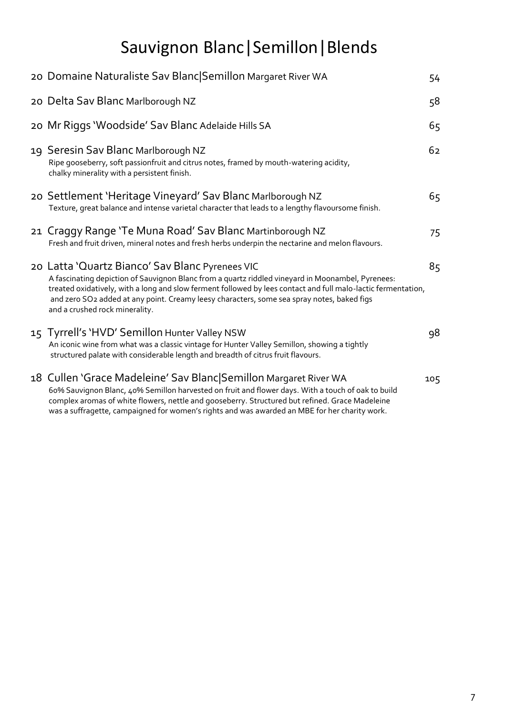# Sauvignon Blanc|Semillon|Blends

| 20 Domaine Naturaliste Sav Blanc Semillon Margaret River WA                                                                                                                                                                                                                                                                                                                                           | 54  |
|-------------------------------------------------------------------------------------------------------------------------------------------------------------------------------------------------------------------------------------------------------------------------------------------------------------------------------------------------------------------------------------------------------|-----|
| 20 Delta Sav Blanc Marlborough NZ                                                                                                                                                                                                                                                                                                                                                                     | 58  |
| 20 Mr Riggs 'Woodside' Sav Blanc Adelaide Hills SA                                                                                                                                                                                                                                                                                                                                                    | 65  |
| 19 Seresin Sav Blanc Marlborough NZ<br>Ripe gooseberry, soft passionfruit and citrus notes, framed by mouth-watering acidity,<br>chalky minerality with a persistent finish.                                                                                                                                                                                                                          | 62  |
| 20 Settlement 'Heritage Vineyard' Sav Blanc Marlborough NZ<br>Texture, great balance and intense varietal character that leads to a lengthy flavoursome finish.                                                                                                                                                                                                                                       | 65  |
| 21 Craggy Range 'Te Muna Road' Sav Blanc Martinborough NZ<br>Fresh and fruit driven, mineral notes and fresh herbs underpin the nectarine and melon flavours.                                                                                                                                                                                                                                         | 75  |
| 20 Latta 'Quartz Bianco' Sav Blanc Pyrenees VIC<br>A fascinating depiction of Sauvignon Blanc from a quartz riddled vineyard in Moonambel, Pyrenees:<br>treated oxidatively, with a long and slow ferment followed by lees contact and full malo-lactic fermentation,<br>and zero SO2 added at any point. Creamy leesy characters, some sea spray notes, baked figs<br>and a crushed rock minerality. | 85  |
| 15 Tyrrell's 'HVD' Semillon Hunter Valley NSW<br>An iconic wine from what was a classic vintage for Hunter Valley Semillon, showing a tightly<br>structured palate with considerable length and breadth of citrus fruit flavours.                                                                                                                                                                     | 98  |
| 18 Cullen 'Grace Madeleine' Sav Blanc Semillon Margaret River WA<br>60% Sauvignon Blanc, 40% Semillon harvested on fruit and flower days. With a touch of oak to build<br>complex aromas of white flowers, nettle and gooseberry. Structured but refined. Grace Madeleine                                                                                                                             | 105 |

was a suffragette, campaigned for women's rights and was awarded an MBE for her charity work.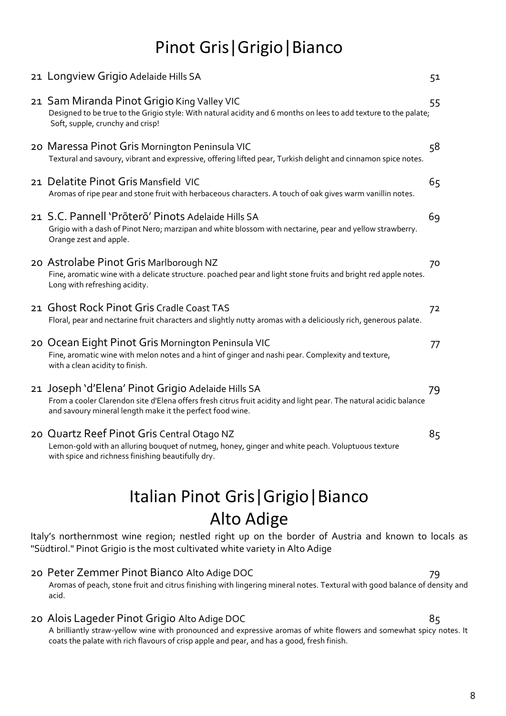# Pinot Gris|Grigio|Bianco

| 21 Longview Grigio Adelaide Hills SA                                                                                                                                                                                                 | 51 |
|--------------------------------------------------------------------------------------------------------------------------------------------------------------------------------------------------------------------------------------|----|
| 21 Sam Miranda Pinot Grigio King Valley VIC<br>Designed to be true to the Grigio style: With natural acidity and 6 months on lees to add texture to the palate;<br>Soft, supple, crunchy and crisp!                                  | 55 |
| 20 Maressa Pinot Gris Mornington Peninsula VIC<br>Textural and savoury, vibrant and expressive, offering lifted pear, Turkish delight and cinnamon spice notes.                                                                      | 58 |
| 21 Delatite Pinot Gris Mansfield VIC<br>Aromas of ripe pear and stone fruit with herbaceous characters. A touch of oak gives warm vanillin notes.                                                                                    | 65 |
| 21 S.C. Pannell 'Prōterō' Pinots Adelaide Hills SA<br>Grigio with a dash of Pinot Nero; marzipan and white blossom with nectarine, pear and yellow strawberry.<br>Orange zest and apple.                                             | 69 |
| 20 Astrolabe Pinot Gris Marlborough NZ<br>Fine, aromatic wine with a delicate structure. poached pear and light stone fruits and bright red apple notes.<br>Long with refreshing acidity.                                            | 70 |
| 21 Ghost Rock Pinot Gris Cradle Coast TAS<br>Floral, pear and nectarine fruit characters and slightly nutty aromas with a deliciously rich, generous palate.                                                                         | 72 |
| 20 Ocean Eight Pinot Gris Mornington Peninsula VIC<br>Fine, aromatic wine with melon notes and a hint of ginger and nashi pear. Complexity and texture,<br>with a clean acidity to finish.                                           | 77 |
| 21 Joseph 'd'Elena' Pinot Grigio Adelaide Hills SA<br>From a cooler Clarendon site d'Elena offers fresh citrus fruit acidity and light pear. The natural acidic balance<br>and savoury mineral length make it the perfect food wine. | 79 |
| 20 Quartz Reef Pinot Gris Central Otago NZ<br>Lemon-gold with an alluring bouquet of nutmeg, honey, ginger and white peach. Voluptuous texture<br>with spice and richness finishing beautifully dry.                                 | 85 |
|                                                                                                                                                                                                                                      |    |

# Italian Pinot Gris|Grigio|Bianco Alto Adige

Italy's northernmost wine region; nestled right up on the border of Austria and known to locals as "Südtirol." Pinot Grigio is the most cultivated white variety in Alto Adige

## 20 Peter Zemmer Pinot Bianco Alto Adige DOC 79

Aromas of peach, stone fruit and citrus finishing with lingering mineral notes. Textural with good balance of density and acid.

## 20 Alois Lageder Pinot Grigio Alto Adige DOC 85

A brilliantly straw-yellow wine with pronounced and expressive aromas of white flowers and somewhat spicy notes. It coats the palate with rich flavours of crisp apple and pear, and has a good, fresh finish.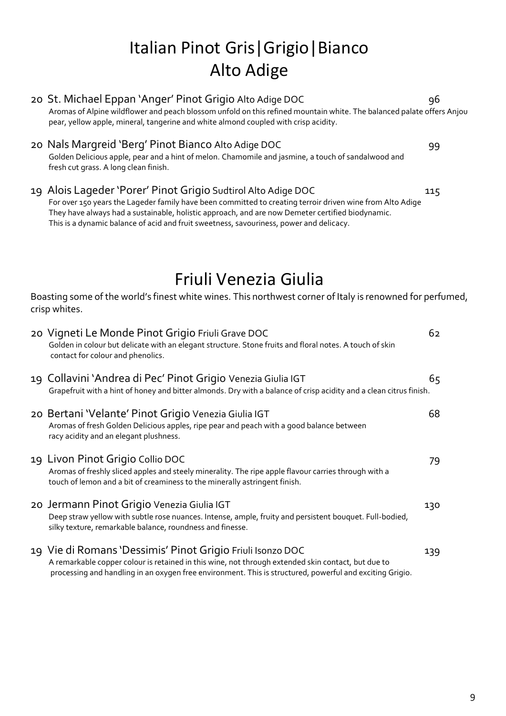# Italian Pinot Gris|Grigio|Bianco Alto Adige

| 20 St. Michael Eppan 'Anger' Pinot Grigio Alto Adige DOC<br>Aromas of Alpine wildflower and peach blossom unfold on this refined mountain white. The balanced palate offers Anjou<br>pear, yellow apple, mineral, tangerine and white almond coupled with crisp acidity.                                                                                                  | 96  |
|---------------------------------------------------------------------------------------------------------------------------------------------------------------------------------------------------------------------------------------------------------------------------------------------------------------------------------------------------------------------------|-----|
| 20 Nals Margreid 'Berg' Pinot Bianco Alto Adige DOC<br>Golden Delicious apple, pear and a hint of melon. Chamomile and jasmine, a touch of sandalwood and<br>fresh cut grass. A long clean finish.                                                                                                                                                                        | 99  |
| 19 Alois Lageder 'Porer' Pinot Grigio Sudtirol Alto Adige DOC<br>For over 150 years the Lageder family have been committed to creating terroir driven wine from Alto Adige<br>They have always had a sustainable, holistic approach, and are now Demeter certified biodynamic.<br>This is a dynamic balance of acid and fruit sweetness, savouriness, power and delicacy. | 115 |
| Friuli Venezia Giulia                                                                                                                                                                                                                                                                                                                                                     |     |
| Boasting some of the world's finest white wines. This northwest corner of Italy is renowned for perfumed,<br>crisp whites.                                                                                                                                                                                                                                                |     |
| 20 Vigneti Le Monde Pinot Grigio Friuli Grave DOC<br>Golden in colour but delicate with an elegant structure. Stone fruits and floral notes. A touch of skin<br>contact for colour and phenolics.                                                                                                                                                                         | 62  |
| 19 Collavini 'Andrea di Pec' Pinot Grigio Venezia Giulia IGT<br>Grapefruit with a hint of honey and bitter almonds. Dry with a balance of crisp acidity and a clean citrus finish.                                                                                                                                                                                        | 65  |
| 20 Bertani 'Velante' Pinot Grigio Venezia Giulia IGT<br>Aromas of fresh Golden Delicious apples, ripe pear and peach with a good balance between<br>racy acidity and an elegant plushness.                                                                                                                                                                                | 68  |
| 19 Livon Pinot Grigio Collio DOC<br>Aromas of freshly sliced apples and steely minerality. The ripe apple flavour carries through with a<br>touch of lemon and a bit of creaminess to the minerally astringent finish.                                                                                                                                                    | 79  |
| 20 Jermann Pinot Grigio Venezia Giulia IGT<br>Deep straw yellow with subtle rose nuances. Intense, ample, fruity and persistent bouquet. Full-bodied,<br>silky texture, remarkable balance, roundness and finesse.                                                                                                                                                        | 130 |
| 19 Vie di Romans 'Dessimis' Pinot Grigio Friuli Isonzo DOC<br>A remarkable copper colour is retained in this wine, not through extended skin contact, but due to<br>processing and handling in an oxygen free environment. This is structured, powerful and exciting Grigio.                                                                                              | 139 |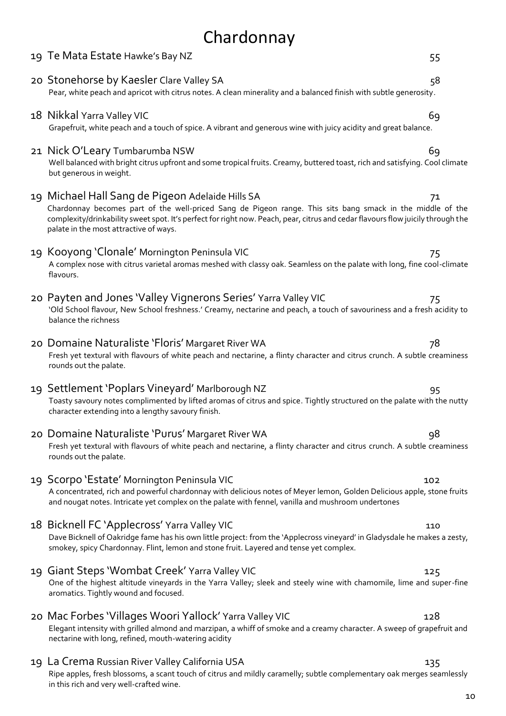# Chardonnay 19 Te Mata Estate Hawke's Bay NZ 55

|    | 20 Stonehorse by Kaesler Clare Valley SA<br>Pear, white peach and apricot with citrus notes. A clean minerality and a balanced finish with subtle generosity.                                                                                                                                                                               | 58  |
|----|---------------------------------------------------------------------------------------------------------------------------------------------------------------------------------------------------------------------------------------------------------------------------------------------------------------------------------------------|-----|
|    | 18 Nikkal Yarra Valley VIC<br>Grapefruit, white peach and a touch of spice. A vibrant and generous wine with juicy acidity and great balance.                                                                                                                                                                                               | 69  |
|    | 21 Nick O'Leary Tumbarumba NSW<br>Well balanced with bright citrus upfront and some tropical fruits. Creamy, buttered toast, rich and satisfying. Cool climate<br>but generous in weight.                                                                                                                                                   | 69  |
|    | 19 Michael Hall Sang de Pigeon Adelaide Hills SA<br>Chardonnay becomes part of the well-priced Sang de Pigeon range. This sits bang smack in the middle of the<br>complexity/drinkability sweet spot. It's perfect for right now. Peach, pear, citrus and cedar flavours flow juicily through the<br>palate in the most attractive of ways. | 71  |
|    | 19 Kooyong 'Clonale' Mornington Peninsula VIC<br>A complex nose with citrus varietal aromas meshed with classy oak. Seamless on the palate with long, fine cool-climate<br>flavours.                                                                                                                                                        | 75  |
|    | 20 Payten and Jones 'Valley Vignerons Series' Yarra Valley VIC<br>'Old School flavour, New School freshness.' Creamy, nectarine and peach, a touch of savouriness and a fresh acidity to<br>balance the richness                                                                                                                            | 75  |
|    | 20 Domaine Naturaliste 'Floris' Margaret River WA<br>Fresh yet textural with flavours of white peach and nectarine, a flinty character and citrus crunch. A subtle creaminess<br>rounds out the palate.                                                                                                                                     | 78  |
|    | 19 Settlement 'Poplars Vineyard' Marlborough NZ<br>Toasty savoury notes complimented by lifted aromas of citrus and spice. Tightly structured on the palate with the nutty<br>character extending into a lengthy savoury finish.                                                                                                            | 95  |
|    | 20 Domaine Naturaliste 'Purus' Margaret River WA<br>Fresh yet textural with flavours of white peach and nectarine, a flinty character and citrus crunch. A subtle creaminess<br>rounds out the palate.                                                                                                                                      | 98  |
|    | 19 Scorpo 'Estate' Mornington Peninsula VIC<br>A concentrated, rich and powerful chardonnay with delicious notes of Meyer lemon, Golden Delicious apple, stone fruits<br>and nougat notes. Intricate yet complex on the palate with fennel, vanilla and mushroom undertones                                                                 | 102 |
|    | 18 Bicknell FC 'Applecross' Yarra Valley VIC<br>Dave Bicknell of Oakridge fame has his own little project: from the 'Applecross vineyard' in Gladysdale he makes a zesty,<br>smokey, spicy Chardonnay. Flint, lemon and stone fruit. Layered and tense yet complex.                                                                         | 110 |
| 19 | Giant Steps 'Wombat Creek' Yarra Valley VIC<br>One of the highest altitude vineyards in the Yarra Valley; sleek and steely wine with chamomile, lime and super-fine<br>aromatics. Tightly wound and focused.                                                                                                                                | 125 |
|    | 20 Mac Forbes 'Villages Woori Yallock' Yarra Valley VIC<br>Elegant intensity with grilled almond and marzipan, a whiff of smoke and a creamy character. A sweep of grapefruit and<br>nectarine with long, refined, mouth-watering acidity                                                                                                   | 128 |
|    | 19 La Crema Russian River Valley California USA<br>Ripe apples, fresh blossoms, a scant touch of citrus and mildly caramelly; subtle complementary oak merges seamlessly                                                                                                                                                                    | 135 |

in this rich and very well-crafted wine.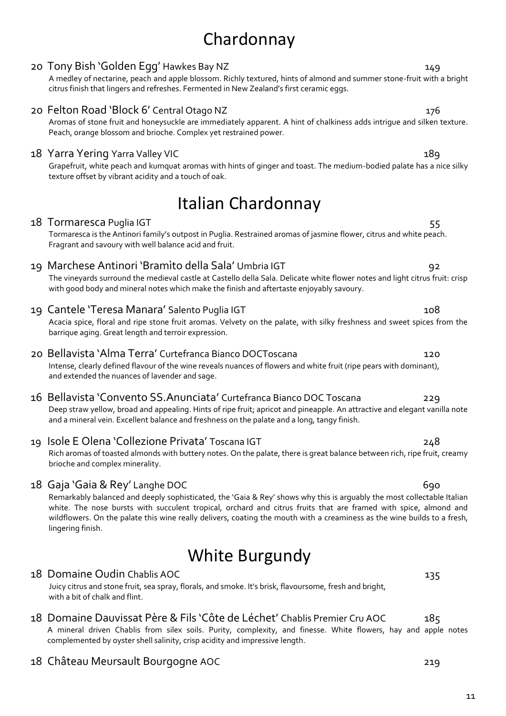# Chardonnay

# 20 Tony Bish 'Golden Egg' Hawkes Bay NZ 149

A medley of nectarine, peach and apple blossom. Richly textured, hints of almond and summer stone-fruit with a bright citrus finish that lingers and refreshes. Fermented in New Zealand's first ceramic eggs.

# 20 Felton Road 'Block 6' Central Otago NZ 176

Aromas of stone fruit and honeysuckle are immediately apparent. A hint of chalkiness adds intrigue and silken texture. Peach, orange blossom and brioche. Complex yet restrained power.

# 18 Yarra Yering Yarra Valley VIC 189

Grapefruit, white peach and kumquat aromas with hints of ginger and toast. The medium-bodied palate has a nice silky texture offset by vibrant acidity and a touch of oak.

# Italian Chardonnay

## 18 Tormaresca Puglia IGT 55

Tormaresca is the Antinori family's outpost in Puglia. Restrained aromas of jasmine flower, citrus and white peach. Fragrant and savoury with well balance acid and fruit.

# 19 Marchese Antinori 'Bramìto della Sala' Umbria IGT 92

The vineyards surround the medieval castle at Castello della Sala. Delicate white flower notes and light citrus fruit: crisp with good body and mineral notes which make the finish and aftertaste enjoyably savoury.

# 19 Cantele 'Teresa Manara' Salento Puglia IGT 108

Acacia spice, floral and ripe stone fruit aromas. Velvety on the palate, with silky freshness and sweet spices from the barrique aging. Great length and terroir expression.

# 20 Bellavista 'Alma Terra' Curtefranca Bianco DOCToscana 120

Intense, clearly defined flavour of the wine reveals nuances of flowers and white fruit (ripe pears with dominant), and extended the nuances of lavender and sage.

# 16 Bellavista 'Convento SS.Anunciata' Curtefranca Bianco DOC Toscana 229

Deep straw yellow, broad and appealing. Hints of ripe fruit; apricot and pineapple. An attractive and elegant vanilla note and a mineral vein. Excellent balance and freshness on the palate and a long, tangy finish.

# 19 Isole E Olena 'Collezione Privata' Toscana IGT 248

Rich aromas of toasted almonds with buttery notes. On the palate, there is great balance between rich, ripe fruit, creamy brioche and complex minerality.

# 18 Gaja 'Gaia & Rey' Langhe DOC 690

Remarkably balanced and deeply sophisticated, the 'Gaia & Rey' shows why this is arguably the most collectable Italian white. The nose bursts with succulent tropical, orchard and citrus fruits that are framed with spice, almond and wildflowers. On the palate this wine really delivers, coating the mouth with a creaminess as the wine builds to a fresh, lingering finish.

# White Burgundy

## 18 Domaine Oudin Chablis AOC 135

Juicy citrus and stone fruit, sea spray, florals, and smoke. It's brisk, flavoursome, fresh and bright, with a bit of chalk and flint.

# 18 Domaine Dauvissat Père & Fils 'Côte de Léchet' Chablis Premier Cru AOC 185

A mineral driven Chablis from silex soils. Purity, complexity, and finesse. White flowers, hay and apple notes complemented by oyster shell salinity, crisp acidity and impressive length.

# 18 Château Meursault Bourgogne AOC 219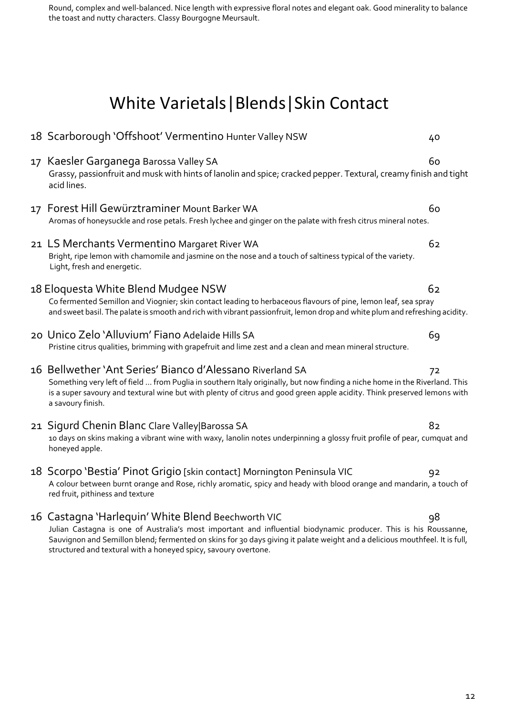Round, complex and well-balanced. Nice length with expressive floral notes and elegant oak. Good minerality to balance the toast and nutty characters. Classy Bourgogne Meursault.

# White Varietals|Blends|Skin Contact

| 18 Scarborough 'Offshoot' Vermentino Hunter Valley NSW                                                                                                                                                                                                                                                                                                                   | 40 |
|--------------------------------------------------------------------------------------------------------------------------------------------------------------------------------------------------------------------------------------------------------------------------------------------------------------------------------------------------------------------------|----|
| 17 Kaesler Garganega Barossa Valley SA<br>Grassy, passionfruit and musk with hints of lanolin and spice; cracked pepper. Textural, creamy finish and tight<br>acid lines.                                                                                                                                                                                                | 60 |
| 17 Forest Hill Gewürztraminer Mount Barker WA<br>Aromas of honeysuckle and rose petals. Fresh lychee and ginger on the palate with fresh citrus mineral notes.                                                                                                                                                                                                           | 60 |
| 21 LS Merchants Vermentino Margaret River WA<br>Bright, ripe lemon with chamomile and jasmine on the nose and a touch of saltiness typical of the variety.<br>Light, fresh and energetic.                                                                                                                                                                                | 62 |
| 18 Eloquesta White Blend Mudgee NSW<br>Co fermented Semillon and Viognier; skin contact leading to herbaceous flavours of pine, lemon leaf, sea spray<br>and sweet basil. The palate is smooth and rich with vibrant passionfruit, lemon drop and white plum and refreshing acidity.                                                                                     | 62 |
| 20 Unico Zelo 'Alluvium' Fiano Adelaide Hills SA<br>Pristine citrus qualities, brimming with grapefruit and lime zest and a clean and mean mineral structure.                                                                                                                                                                                                            | 69 |
| 16 Bellwether 'Ant Series' Bianco d'Alessano Riverland SA<br>Something very left of field  from Puglia in southern Italy originally, but now finding a niche home in the Riverland. This<br>is a super savoury and textural wine but with plenty of citrus and good green apple acidity. Think preserved lemons with<br>a savoury finish.                                | 72 |
| 21 Sigurd Chenin Blanc Clare Valley Barossa SA<br>10 days on skins making a vibrant wine with waxy, lanolin notes underpinning a glossy fruit profile of pear, cumquat and<br>honeyed apple.                                                                                                                                                                             | 82 |
| 18 Scorpo 'Bestia' Pinot Grigio [skin contact] Mornington Peninsula VIC<br>A colour between burnt orange and Rose, richly aromatic, spicy and heady with blood orange and mandarin, a touch of<br>red fruit, pithiness and texture                                                                                                                                       | 92 |
| 16 Castagna 'Harlequin' White Blend Beechworth VIC<br>Julian Castagna is one of Australia's most important and influential biodynamic producer. This is his Roussanne,<br>Sauvignon and Semillon blend; fermented on skins for 30 days giving it palate weight and a delicious mouthfeel. It is full,<br>structured and textural with a honeyed spicy, savoury overtone. | 98 |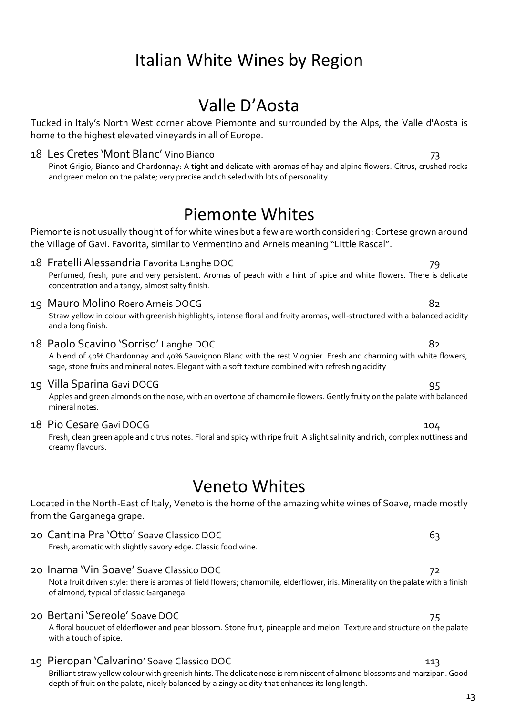# Valle D'Aosta

Tucked in Italy's North West corner above Piemonte and surrounded by the Alps, the Valle d'Aosta is home to the highest elevated vineyards in all of Europe.

18 Les Cretes 'Mont Blanc' Vino Bianco 73 Pinot Grigio, Bianco and Chardonnay: A tight and delicate with aromas of hay and alpine flowers. Citrus, crushed rocks and green melon on the palate; very precise and chiseled with lots of personality.

# Piemonte Whites

Piemonte is not usually thought of for white wines but a few are worth considering: Cortese grown around the Village of Gavi. Favorita, similar to Vermentino and Arneis meaning "Little Rascal".

- 18 Fratelli Alessandria Favorita Langhe DOC 79 Perfumed, fresh, pure and very persistent. Aromas of peach with a hint of spice and white flowers. There is delicate concentration and a tangy, almost salty finish.
- 19 Mauro Molino Roero Arneis DOCG 82 Straw yellow in colour with greenish highlights, intense floral and fruity aromas, well-structured with a balanced acidity

and a long finish.

# 18 Paolo Scavino 'Sorriso' Langhe DOC 82

A blend of 40% Chardonnay and 40% Sauvignon Blanc with the rest Viognier. Fresh and charming with white flowers, sage, stone fruits and mineral notes. Elegant with a soft texture combined with refreshing acidity

19 Villa Sparina Gavi DOCG 95

Apples and green almonds on the nose, with an overtone of chamomile flowers. Gently fruity on the palate with balanced mineral notes.

18 Pio Cesare Gavi DOCG 18 and 104

Fresh, clean green apple and citrus notes. Floral and spicy with ripe fruit. A slight salinity and rich, complex nuttiness and creamy flavours.

# Veneto Whites

Located in the North-East of Italy, Veneto is the home of the amazing white wines of Soave, made mostly from the Garganega grape.

- 20 Cantina Pra 'Otto' Soave Classico DOC 63 Fresh, aromatic with slightly savory edge. Classic food wine.
- 20 Inama 'Vin Soave' Soave Classico DOC 72

Not a fruit driven style: there is aromas of field flowers; chamomile, elderflower, iris. Minerality on the palate with a finish of almond, typical of classic Garganega.

## 20 Bertani 'Sereole' Soave DOC 75

A floral bouquet of elderflower and pear blossom. Stone fruit, pineapple and melon. Texture and structure on the palate with a touch of spice.

19 Pieropan 'Calvarino' Soave Classico DOC 19 Pieropan 113

Brilliant straw yellow colour with greenish hints. The delicate nose is reminiscent of almond blossoms and marzipan. Good depth of fruit on the palate, nicely balanced by a zingy acidity that enhances its long length.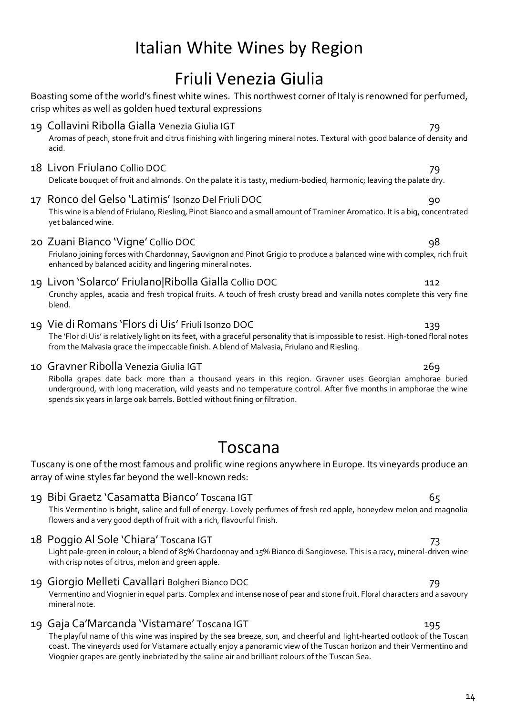# Friuli Venezia Giulia

|    | Boasting some of the world's finest white wines. This northwest corner of Italy is renowned for perfumed,<br>crisp whites as well as golden hued textural expressions                                                                                                                                                                                   |     |  |
|----|---------------------------------------------------------------------------------------------------------------------------------------------------------------------------------------------------------------------------------------------------------------------------------------------------------------------------------------------------------|-----|--|
|    | 19 Collavini Ribolla Gialla Venezia Giulia IGT<br>Aromas of peach, stone fruit and citrus finishing with lingering mineral notes. Textural with good balance of density and<br>acid.                                                                                                                                                                    | 79  |  |
|    | 18 Livon Friulano Collio DOC<br>Delicate bouquet of fruit and almonds. On the palate it is tasty, medium-bodied, harmonic; leaving the palate dry.                                                                                                                                                                                                      | 79  |  |
| 17 | Ronco del Gelso 'Latimis' Isonzo Del Friuli DOC<br>This wine is a blend of Friulano, Riesling, Pinot Bianco and a small amount of Traminer Aromatico. It is a big, concentrated<br>yet balanced wine.                                                                                                                                                   | 90  |  |
|    | 20 Zuani Bianco 'Vigne' Collio DOC<br>Friulano joining forces with Chardonnay, Sauvignon and Pinot Grigio to produce a balanced wine with complex, rich fruit<br>enhanced by balanced acidity and lingering mineral notes.                                                                                                                              | 98  |  |
|    | 19 Livon 'Solarco' Friulano Ribolla Gialla Collio DOC<br>Crunchy apples, acacia and fresh tropical fruits. A touch of fresh crusty bread and vanilla notes complete this very fine<br>blend.                                                                                                                                                            | 112 |  |
|    | 19 Vie di Romans 'Flors di Uis' Friuli Isonzo DOC<br>The 'Flor di Uis' is relatively light on its feet, with a graceful personality that is impossible to resist. High-toned floral notes<br>from the Malvasia grace the impeccable finish. A blend of Malvasia, Friulano and Riesling.                                                                 | 139 |  |
|    | 10 Gravner Ribolla Venezia Giulia IGT<br>Ribolla grapes date back more than a thousand years in this region. Gravner uses Georgian amphorae buried<br>underground, with long maceration, wild yeasts and no temperature control. After five months in amphorae the wine<br>spends six years in large oak barrels. Bottled without fining or filtration. | 269 |  |
|    | Toscana                                                                                                                                                                                                                                                                                                                                                 |     |  |
|    | Tuscany is one of the most famous and prolific wine regions anywhere in Europe. Its vineyards produce an<br>array of wine styles far beyond the well-known reds:                                                                                                                                                                                        |     |  |
|    | 19 Bibi Graetz 'Casamatta Bianco' Toscana IGT<br>This Vermentino is bright, saline and full of energy. Lovely perfumes of fresh red apple, honeydew melon and magnolia<br>flowers and a very good depth of fruit with a rich, flavourful finish.                                                                                                        | 65  |  |
|    | 18 Poggio Al Sole 'Chiara' Toscana IGT<br>Light pale-green in colour; a blend of 85% Chardonnay and 15% Bianco di Sangiovese. This is a racy, mineral-driven wine<br>with crisp notes of citrus, melon and green apple.                                                                                                                                 | 73  |  |
|    | 19 Giorgio Melleti Cavallari Bolgheri Bianco DOC<br>Vermentino and Viognier in equal parts. Complex and intense nose of pear and stone fruit. Floral characters and a savoury<br>mineral note.                                                                                                                                                          | 79  |  |
|    | 19 Gaja Ca'Marcanda 'Vistamare' Toscana IGT                                                                                                                                                                                                                                                                                                             | 195 |  |

The playful name of this wine was inspired by the sea breeze, sun, and cheerful and light-hearted outlook of the Tuscan coast. The vineyards used for Vistamare actually enjoy a panoramic view of the Tuscan horizon and their Vermentino and Viognier grapes are gently inebriated by the saline air and brilliant colours of the Tuscan Sea.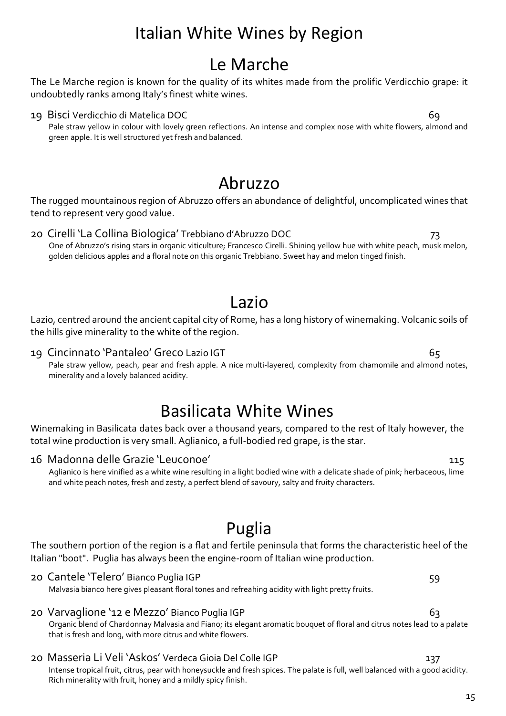# Le Marche

The Le Marche region is known for the quality of its whites made from the prolific Verdicchio grape: it undoubtedly ranks among Italy's finest white wines.

## 19 Bisci Verdicchio di Matelica DOC 69

Pale straw yellow in colour with lovely green reflections. An intense and complex nose with white flowers, almond and green apple. It is well structured yet fresh and balanced.

# Abruzzo

The rugged mountainous region of Abruzzo offers an abundance of delightful, uncomplicated wines that tend to represent very good value.

20 Cirelli 'La Collina Biologica' Trebbiano d'Abruzzo DOC 73 One of Abruzzo's rising stars in organic viticulture; Francesco Cirelli. Shining yellow hue with white peach, musk melon, golden delicious apples and a floral note on this organic Trebbiano. Sweet hay and melon tinged finish.

# Lazio

Lazio, centred around the ancient capital city of Rome, has a long history of winemaking. Volcanic soils of the hills give minerality to the white of the region.

## 19 Cincinnato 'Pantaleo' Greco Lazio IGT 65

Pale straw yellow, peach, pear and fresh apple. A nice multi-layered, complexity from chamomile and almond notes, minerality and a lovely balanced acidity.

# Basilicata White Wines

Winemaking in Basilicata dates back over a thousand years, compared to the rest of Italy however, the total wine production is very small. Aglianico, a full-bodied red grape, is the star.

## 16 Madonna delle Grazie 'Leuconoe' 115

Aglianico is here vinified as a white wine resulting in a light bodied wine with a delicate shade of pink; herbaceous, lime and white peach notes, fresh and zesty, a perfect blend of savoury, salty and fruity characters.

# Puglia

The southern portion of the region is a flat and fertile peninsula that forms the characteristic heel of the Italian "boot". Puglia has always been the engine-room of Italian wine production.

20 Cantele 'Telero' Bianco Puglia IGP 59 Malvasia bianco here gives pleasant floral tones and refreahing acidity with light pretty fruits.

- 20 Varvaglione '12 e Mezzo' Bianco Puglia IGP 63 Organic blend of Chardonnay Malvasia and Fiano; its elegant aromatic bouquet of floral and citrus notes lead to a palate that is fresh and long, with more citrus and white flowers.
- 20 Masseria Li Veli 'Askos' Verdeca Gioia Del Colle IGP 137

Intense tropical fruit, citrus, pear with honeysuckle and fresh spices. The palate is full, well balanced with a good acidity. Rich minerality with fruit, honey and a mildly spicy finish.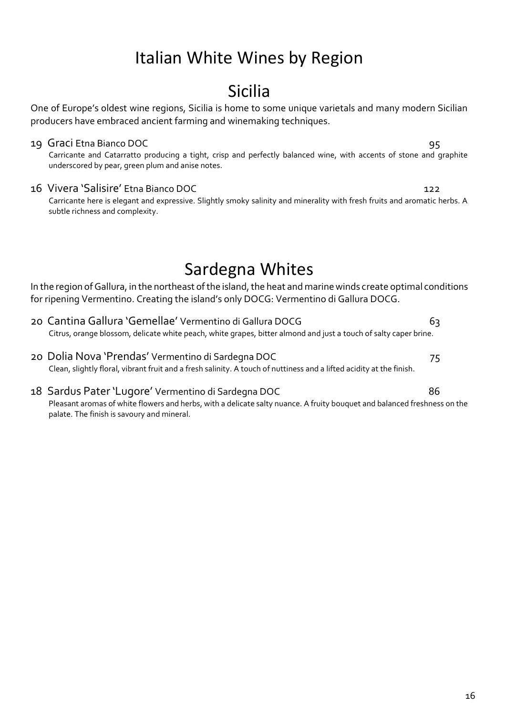# Sicilia

One of Europe's oldest wine regions, Sicilia is home to some unique varietals and many modern Sicilian producers have embraced ancient farming and winemaking techniques.

## 19 Graci Etna Bianco DOC 95

Carricante and Catarratto producing a tight, crisp and perfectly balanced wine, with accents of stone and graphite underscored by pear, green plum and anise notes.

## 16 Vivera 'Salisire' Etna Bianco DOC 122

Carricante here is elegant and expressive. Slightly smoky salinity and minerality with fresh fruits and aromatic herbs. A subtle richness and complexity.

# Sardegna Whites

In the region of Gallura, in the northeast of the island, the heat and marine winds create optimal conditions for ripening Vermentino. Creating the island's only DOCG: Vermentino di Gallura DOCG.

- 20 Cantina Gallura 'Gemellae' Vermentino di Gallura DOCG 63 Citrus, orange blossom, delicate white peach, white grapes, bitter almond and just a touch of salty caper brine.
- 20 Dolia Nova 'Prendas' Vermentino di Sardegna DOC 75 Clean, slightly floral, vibrant fruit and a fresh salinity. A touch of nuttiness and a lifted acidity at the finish.
- 18 Sardus Pater 'Lugore' Vermentino di Sardegna DOC 86 Pleasant aromas of white flowers and herbs, with a delicate salty nuance. A fruity bouquet and balanced freshness on the palate. The finish is savoury and mineral.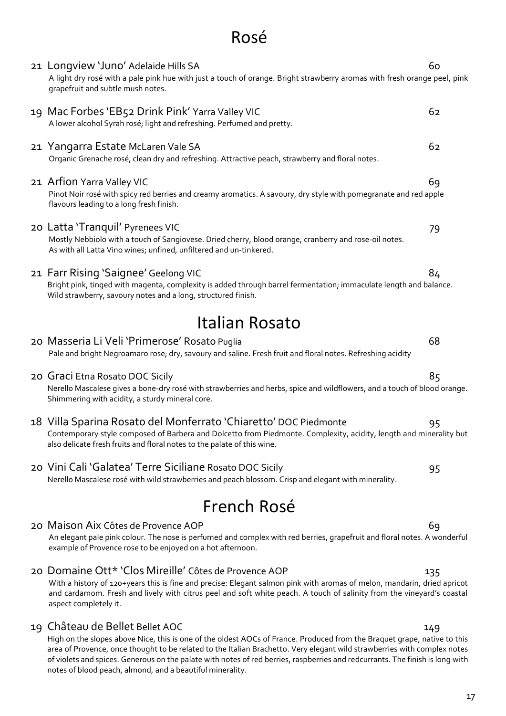# Rosé

|             | 21 Longview 'Juno' Adelaide Hills SA<br>A light dry rosé with a pale pink hue with just a touch of orange. Bright strawberry aromas with fresh orange peel, pink<br>grapefruit and subtle mush notes.                                                             | 60 |
|-------------|-------------------------------------------------------------------------------------------------------------------------------------------------------------------------------------------------------------------------------------------------------------------|----|
|             | 19 Mac Forbes 'EB52 Drink Pink' Yarra Valley VIC<br>A lower alcohol Syrah rosé; light and refreshing. Perfumed and pretty.                                                                                                                                        | 62 |
|             | 21 Yangarra Estate McLaren Vale SA<br>Organic Grenache rosé, clean dry and refreshing. Attractive peach, strawberry and floral notes.                                                                                                                             | 62 |
|             | 21 Arfion Yarra Valley VIC<br>Pinot Noir rosé with spicy red berries and creamy aromatics. A savoury, dry style with pomegranate and red apple<br>flavours leading to a long fresh finish.                                                                        | 69 |
|             | 20 Latta 'Tranquil' Pyrenees VIC<br>Mostly Nebbiolo with a touch of Sangiovese. Dried cherry, blood orange, cranberry and rose-oil notes.<br>As with all Latta Vino wines; unfined, unfiltered and un-tinkered.                                                   | 79 |
|             | 21 Farr Rising 'Saignee' Geelong VIC<br>Bright pink, tinged with magenta, complexity is added through barrel fermentation; immaculate length and balance.<br>Wild strawberry, savoury notes and a long, structured finish.                                        | 84 |
|             | Italian Rosato                                                                                                                                                                                                                                                    |    |
|             | 20 Masseria Li Veli 'Primerose' Rosato Puglia<br>Pale and bright Negroamaro rose; dry, savoury and saline. Fresh fruit and floral notes. Refreshing acidity                                                                                                       | 68 |
|             | 20 Graci Etna Rosato DOC Sicily<br>Nerello Mascalese gives a bone-dry rosé with strawberries and herbs, spice and wildflowers, and a touch of blood orange.<br>Shimmering with acidity, a sturdy mineral core.                                                    | 85 |
|             | 18 Villa Sparina Rosato del Monferrato 'Chiaretto' DOC Piedmonte<br>Contemporary style composed of Barbera and Dolcetto from Piedmonte. Complexity, acidity, length and minerality but<br>also delicate fresh fruits and floral notes to the palate of this wine. | 95 |
|             | 20 Vini Cali 'Galatea' Terre Siciliane Rosato DOC Sicily<br>Nerello Mascalese rosé with wild strawberries and peach blossom. Crisp and elegant with minerality.                                                                                                   | 95 |
| French Rosé |                                                                                                                                                                                                                                                                   |    |
|             | 20 Maison Aix Côtes de Provence AOP<br>An elegant pale pink colour. The nose is perfumed and complex with red berries, grapefruit and floral notes. A wonderful<br>example of Provence rose to be enjoyed on a hot afternoon.                                     | 69 |
|             |                                                                                                                                                                                                                                                                   |    |

20 Domaine Ott\* 'Clos Mireille' Côtes de Provence AOP 135 With a history of 120+years this is fine and precise: Elegant salmon pink with aromas of melon, mandarin, dried apricot and cardamom. Fresh and lively with citrus peel and soft white peach. A touch of salinity from the vineyard's coastal aspect completely it.

## 19 Château de Bellet Bellet AOC 149

High on the slopes above Nice, this is one of the oldest AOCs of France. Produced from the Braquet grape, native to this area of Provence, once thought to be related to the Italian Brachetto. Very elegant wild strawberries with complex notes of violets and spices. Generous on the palate with notes of red berries, raspberries and redcurrants. The finish is long with notes of blood peach, almond, and a beautiful minerality.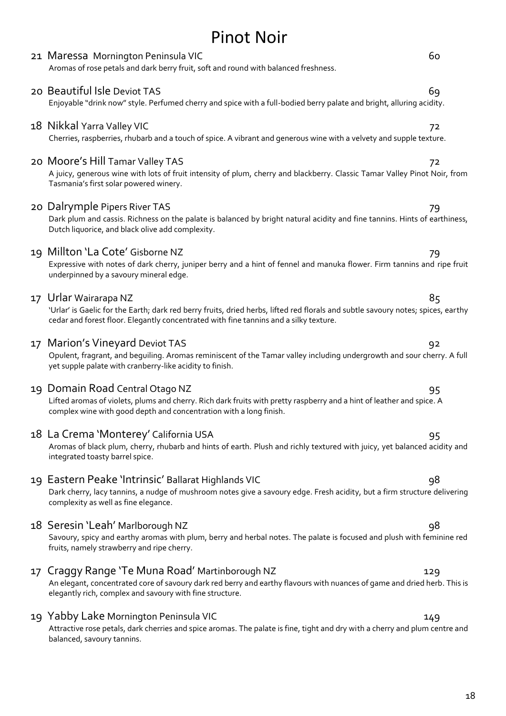| 21 Maressa Mornington Peninsula VIC<br>Aromas of rose petals and dark berry fruit, soft and round with balanced freshness.                                                                                                                        | 60  |
|---------------------------------------------------------------------------------------------------------------------------------------------------------------------------------------------------------------------------------------------------|-----|
| 20 Beautiful Isle Deviot TAS<br>Enjoyable "drink now" style. Perfumed cherry and spice with a full-bodied berry palate and bright, alluring acidity.                                                                                              | 69  |
| 18 Nikkal Yarra Valley VIC<br>Cherries, raspberries, rhubarb and a touch of spice. A vibrant and generous wine with a velvety and supple texture.                                                                                                 | 72  |
| 20 Moore's Hill Tamar Valley TAS<br>A juicy, generous wine with lots of fruit intensity of plum, cherry and blackberry. Classic Tamar Valley Pinot Noir, fror<br>Tasmania's first solar powered winery.                                           | 72  |
| 20 Dalrymple Pipers River TAS<br>Dark plum and cassis. Richness on the palate is balanced by bright natural acidity and fine tannins. Hints of earthines<br>Dutch liquorice, and black olive add complexity.                                      |     |
| 19 Millton 'La Cote' Gisborne NZ<br>Expressive with notes of dark cherry, juniper berry and a hint of fennel and manuka flower. Firm tannins and ripe fru<br>underpinned by a savoury mineral edge.                                               | 79  |
| 17 Urlar Wairarapa NZ<br>'Urlar' is Gaelic for the Earth; dark red berry fruits, dried herbs, lifted red florals and subtle savoury notes; spices, earth<br>cedar and forest floor. Elegantly concentrated with fine tannins and a silky texture. | 85  |
| 17 Marion's Vineyard Deviot TAS<br>Opulent, fragrant, and beguiling. Aromas reminiscent of the Tamar valley including undergrowth and sour cherry. A fu<br>yet supple palate with cranberry-like acidity to finish.                               | 92  |
| 19 Domain Road Central Otago NZ<br>Lifted aromas of violets, plums and cherry. Rich dark fruits with pretty raspberry and a hint of leather and spice. A<br>complex wine with good depth and concentration with a long finish.                    | 95  |
| 18 La Crema 'Monterey' California USA<br>Aromas of black plum, cherry, rhubarb and hints of earth. Plush and richly textured with juicy, yet balanced acidity an<br>integrated toasty barrel spice.                                               | 95  |
| 19 Eastern Peake 'Intrinsic' Ballarat Highlands VIC<br>Dark cherry, lacy tannins, a nudge of mushroom notes give a savoury edge. Fresh acidity, but a firm structure deliverin<br>complexity as well as fine elegance.                            | 98  |
| 18 Seresin 'Leah' Marlborough NZ<br>Savoury, spicy and earthy aromas with plum, berry and herbal notes. The palate is focused and plush with feminine re<br>fruits, namely strawberry and ripe cherry.                                            | 98  |
| 17 Craggy Range 'Te Muna Road' Martinborough NZ<br>An elegant, concentrated core of savoury dark red berry and earthy flavours with nuances of game and dried herb. This<br>elegantly rich, complex and savoury with fine structure.              | 129 |
| 19 Yabby Lake Mornington Peninsula VIC<br>Attractive rose petals, dark cherries and spice aromas. The palate is fine, tight and dry with a cherry and plum centre an<br>balanced, savoury tannins.                                                | 149 |

# 18

# Pinot Noir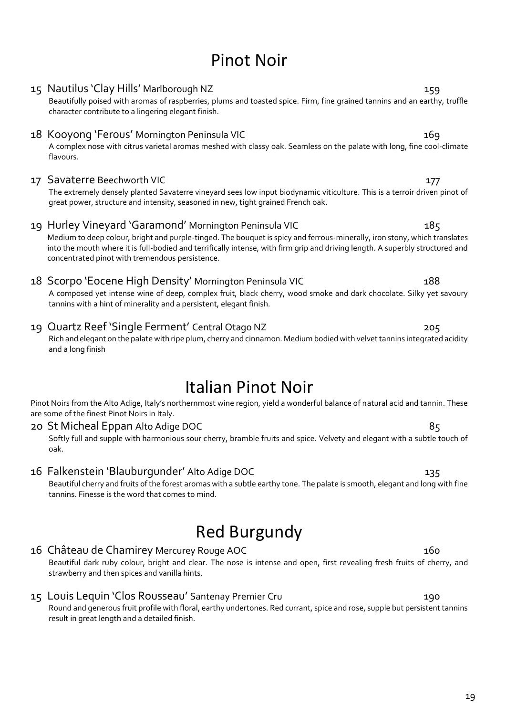# Pinot Noir

# Beautifully poised with aromas of raspberries, plums and toasted spice. Firm, fine grained tannins and an earthy, truffle character contribute to a lingering elegant finish. 18 Kooyong 'Ferous' Mornington Peninsula VIC 169

15 Nautilus 'Clay Hills' Marlborough NZ 159

A complex nose with citrus varietal aromas meshed with classy oak. Seamless on the palate with long, fine cool-climate flavours.

## 17 Savaterre Beechworth VIC 177

The extremely densely planted Savaterre vineyard sees low input biodynamic viticulture. This is a terroir driven pinot of great power, structure and intensity, seasoned in new, tight grained French oak.

## 19 Hurley Vineyard 'Garamond' Mornington Peninsula VIC 185

Medium to deep colour, bright and purple-tinged. The bouquet is spicy and ferrous-minerally, iron stony, which translates into the mouth where it is full-bodied and terrifically intense, with firm grip and driving length. A superbly structured and concentrated pinot with tremendous persistence.

## 18 Scorpo 'Eocene High Density' Mornington Peninsula VIC 188

A composed yet intense wine of deep, complex fruit, black cherry, wood smoke and dark chocolate. Silky yet savoury tannins with a hint of minerality and a persistent, elegant finish.

## 19 Quartz Reef 'Single Ferment' Central Otago NZ 205

Rich and elegant on the palate with ripe plum, cherry and cinnamon. Medium bodied with velvet tannins integrated acidity and a long finish

# Italian Pinot Noir

Pinot Noirs from the Alto Adige, Italy's northernmost wine region, yield a wonderful balance of natural acid and tannin. These are some of the finest Pinot Noirs in Italy.

## 20 St Micheal Eppan Alto Adige DOC 85

Softly full and supple with harmonious sour cherry, bramble fruits and spice. Velvety and elegant with a subtle touch of oak.

## 16 Falkenstein 'Blauburgunder' Alto Adige DOC 135

Beautiful cherry and fruits of the forest aromas with a subtle earthy tone. The palate is smooth, elegant and long with fine tannins. Finesse is the word that comes to mind.

# Red Burgundy

## 16 Château de Chamirey Mercurey Rouge AOC 160

Beautiful dark ruby colour, bright and clear. The nose is intense and open, first revealing fresh fruits of cherry, and strawberry and then spices and vanilla hints.

## 15 Louis Lequin 'Clos Rousseau' Santenay Premier Cru 190

Round and generous fruit profile with floral, earthy undertones. Red currant, spice and rose, supple but persistent tannins result in great length and a detailed finish.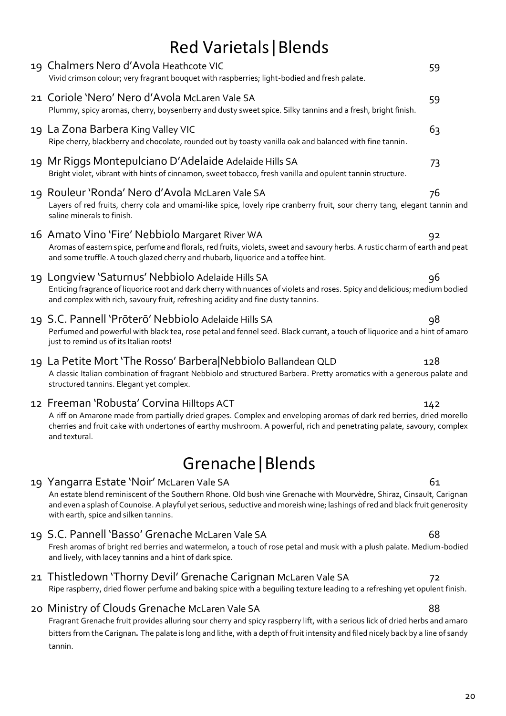# Red Varietals|Blends

|                   | 19 Chalmers Nero d'Avola Heathcote VIC<br>Vivid crimson colour; very fragrant bouquet with raspberries; light-bodied and fresh palate.                                                                                                                                                                                                     | 59  |  |  |  |
|-------------------|--------------------------------------------------------------------------------------------------------------------------------------------------------------------------------------------------------------------------------------------------------------------------------------------------------------------------------------------|-----|--|--|--|
|                   | 21 Coriole 'Nero' Nero d'Avola McLaren Vale SA<br>Plummy, spicy aromas, cherry, boysenberry and dusty sweet spice. Silky tannins and a fresh, bright finish.                                                                                                                                                                               | 59  |  |  |  |
|                   | 19 La Zona Barbera King Valley VIC<br>Ripe cherry, blackberry and chocolate, rounded out by toasty vanilla oak and balanced with fine tannin.                                                                                                                                                                                              | 63  |  |  |  |
|                   | 19 Mr Riggs Montepulciano D'Adelaide Adelaide Hills SA<br>Bright violet, vibrant with hints of cinnamon, sweet tobacco, fresh vanilla and opulent tannin structure.                                                                                                                                                                        | 73  |  |  |  |
|                   | 19 Rouleur 'Ronda' Nero d'Avola McLaren Vale SA<br>Layers of red fruits, cherry cola and umami-like spice, lovely ripe cranberry fruit, sour cherry tang, elegant tannin and<br>saline minerals to finish.                                                                                                                                 | 76  |  |  |  |
|                   | 16 Amato Vino 'Fire' Nebbiolo Margaret River WA<br>Aromas of eastern spice, perfume and florals, red fruits, violets, sweet and savoury herbs. A rustic charm of earth and peat<br>and some truffle. A touch glazed cherry and rhubarb, liquorice and a toffee hint.                                                                       | 92  |  |  |  |
|                   | 19 Longview 'Saturnus' Nebbiolo Adelaide Hills SA<br>Enticing fragrance of liquorice root and dark cherry with nuances of violets and roses. Spicy and delicious; medium bodied<br>and complex with rich, savoury fruit, refreshing acidity and fine dusty tannins.                                                                        | 96  |  |  |  |
|                   | 19 S.C. Pannell 'Prōterō' Nebbiolo Adelaide Hills SA<br>Perfumed and powerful with black tea, rose petal and fennel seed. Black currant, a touch of liquorice and a hint of amaro<br>just to remind us of its Italian roots!                                                                                                               | 98  |  |  |  |
|                   | 19 La Petite Mort 'The Rosso' Barbera Nebbiolo Ballandean QLD<br>A classic Italian combination of fragrant Nebbiolo and structured Barbera. Pretty aromatics with a generous palate and<br>structured tannins. Elegant yet complex.                                                                                                        | 128 |  |  |  |
|                   | 12 Freeman 'Robusta' Corvina Hilltops ACT<br>A riff on Amarone made from partially dried grapes. Complex and enveloping aromas of dark red berries, dried morello<br>cherries and fruit cake with undertones of earthy mushroom. A powerful, rich and penetrating palate, savoury, complex<br>and textural.                                | 142 |  |  |  |
| Grenache   Blends |                                                                                                                                                                                                                                                                                                                                            |     |  |  |  |
|                   | 19 Yangarra Estate 'Noir' McLaren Vale SA<br>An estate blend reminiscent of the Southern Rhone. Old bush vine Grenache with Mourvèdre, Shiraz, Cinsault, Carignan<br>and even a splash of Counoise. A playful yet serious, seductive and moreish wine; lashings of red and black fruit generosity<br>with earth, spice and silken tannins. | 61  |  |  |  |
|                   | 19 S.C. Pannell 'Basso' Grenache McLaren Vale SA<br>Fresh aromas of bright red berries and watermelon, a touch of rose petal and musk with a plush palate. Medium-bodied<br>and lively, with lacey tannins and a hint of dark spice.                                                                                                       | 68  |  |  |  |
|                   | 21 Thistledown 'Thorny Devil' Grenache Carignan McLaren Vale SA<br>Ripe raspberry, dried flower perfume and baking spice with a beguiling texture leading to a refreshing yet opulent finish.                                                                                                                                              | 72  |  |  |  |
|                   | 20 Ministry of Clouds Grenache McLaren Vale SA<br>Fragrant Grenache fruit provides alluring sour cherry and spicy raspberry lift, with a serious lick of dried herbs and amaro<br>bitters from the Carignan. The palate is long and lithe, with a depth of fruit intensity and filed nicely back by a line of sandy<br>tannin.             | 88  |  |  |  |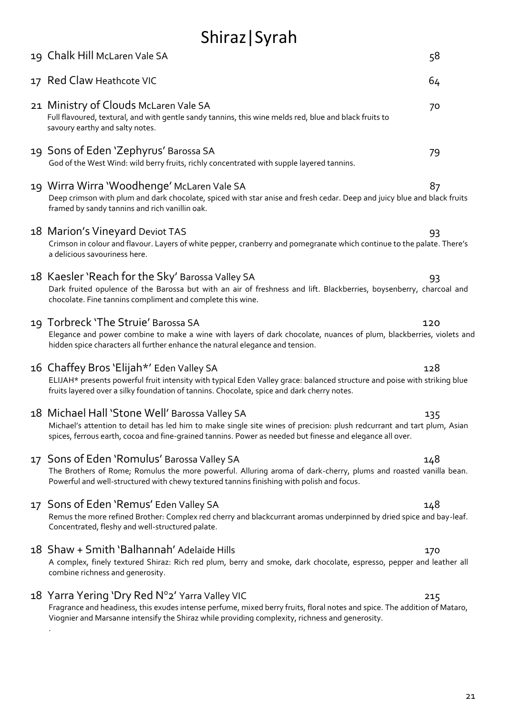# Shiraz|Syrah

| 19 Chalk Hill McLaren Vale SA                                                                                                                                                                                                                                                          | 58  |
|----------------------------------------------------------------------------------------------------------------------------------------------------------------------------------------------------------------------------------------------------------------------------------------|-----|
| 17 Red Claw Heathcote VIC                                                                                                                                                                                                                                                              | 64  |
| 21 Ministry of Clouds McLaren Vale SA<br>Full flavoured, textural, and with gentle sandy tannins, this wine melds red, blue and black fruits to<br>savoury earthy and salty notes.                                                                                                     | 70  |
| 19 Sons of Eden 'Zephyrus' Barossa SA<br>God of the West Wind: wild berry fruits, richly concentrated with supple layered tannins.                                                                                                                                                     | 79  |
| 19 Wirra Wirra 'Woodhenge' McLaren Vale SA<br>Deep crimson with plum and dark chocolate, spiced with star anise and fresh cedar. Deep and juicy blue and black fruits<br>framed by sandy tannins and rich vanillin oak.                                                                | 87  |
| 18 Marion's Vineyard Deviot TAS<br>Crimson in colour and flavour. Layers of white pepper, cranberry and pomegranate which continue to the palate. There's<br>a delicious savouriness here.                                                                                             | 93  |
| 18 Kaesler 'Reach for the Sky' Barossa Valley SA<br>Dark fruited opulence of the Barossa but with an air of freshness and lift. Blackberries, boysenberry, charcoal and<br>chocolate. Fine tannins compliment and complete this wine.                                                  | 93  |
| 19 Torbreck 'The Struie' Barossa SA<br>Elegance and power combine to make a wine with layers of dark chocolate, nuances of plum, blackberries, violets and<br>hidden spice characters all further enhance the natural elegance and tension.                                            | 120 |
| 16 Chaffey Bros 'Elijah*' Eden Valley SA<br>ELIJAH* presents powerful fruit intensity with typical Eden Valley grace: balanced structure and poise with striking blue<br>fruits layered over a silky foundation of tannins. Chocolate, spice and dark cherry notes.                    | 128 |
| 18 Michael Hall 'Stone Well' Barossa Valley SA<br>Michael's attention to detail has led him to make single site wines of precision: plush redcurrant and tart plum, Asian<br>spices, ferrous earth, cocoa and fine-grained tannins. Power as needed but finesse and elegance all over. | 135 |
| 17 Sons of Eden 'Romulus' Barossa Valley SA<br>The Brothers of Rome; Romulus the more powerful. Alluring aroma of dark-cherry, plums and roasted vanilla bean.<br>Powerful and well-structured with chewy textured tannins finishing with polish and focus.                            | 148 |
| 17 Sons of Eden 'Remus' Eden Valley SA<br>Remus the more refined Brother: Complex red cherry and blackcurrant aromas underpinned by dried spice and bay-leaf.<br>Concentrated, fleshy and well-structured palate.                                                                      | 148 |
| 18 Shaw + Smith 'Balhannah' Adelaide Hills<br>A complex, finely textured Shiraz: Rich red plum, berry and smoke, dark chocolate, espresso, pepper and leather all<br>combine richness and generosity.                                                                                  | 170 |
| 18 Yarra Yering 'Dry Red N°2' Yarra Valley VIC<br>Fragrance and headiness, this exudes intense perfume, mixed berry fruits, floral notes and spice. The addition of Mataro,<br>Viognier and Marsanne intensify the Shiraz while providing complexity, richness and generosity.         | 215 |
|                                                                                                                                                                                                                                                                                        |     |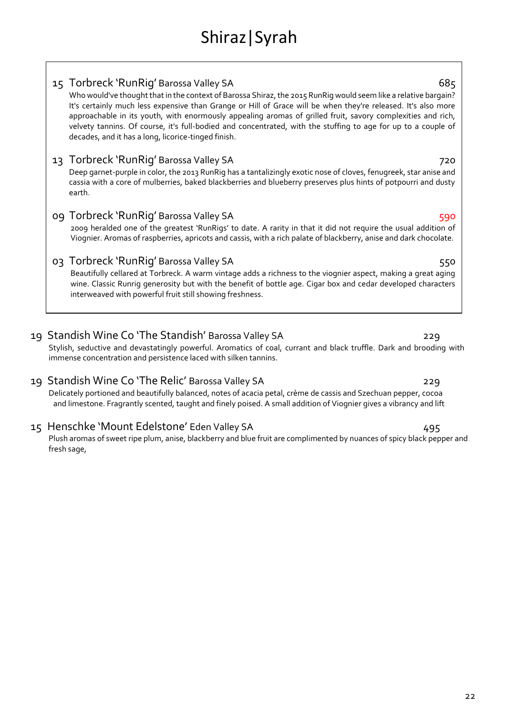| 15 Torbreck 'RunRig' Barossa Valley SA | 685 |
|----------------------------------------|-----|
|----------------------------------------|-----|

Who would've thought that in the context of Barossa Shiraz, the 2015 RunRig would seem like a relative bargain? It's certainly much less expensive than Grange or Hill of Grace will be when they're released. It's also more approachable in its youth, with enormously appealing aromas of grilled fruit, savory complexities and rich, velvety tannins. Of course, it's full-bodied and concentrated, with the stuffing to age for up to a couple of decades, and it has a long, licorice-tinged finish.

## 13 Torbreck 'RunRig' Barossa Valley SA 720

Deep garnet-purple in color, the 2013 RunRig has a tantalizingly exotic nose of cloves, fenugreek, star anise and cassia with a core of mulberries, baked blackberries and blueberry preserves plus hints of potpourri and dusty earth.

## 09 Torbreck 'RunRig' Barossa Valley SA 590

2009 heralded one of the greatest 'RunRigs' to date. A rarity in that it did not require the usual addition of Viognier. Aromas of raspberries, apricots and cassis, with a rich palate of blackberry, anise and dark chocolate.

## 03 Torbreck 'RunRig' Barossa Valley SA 550

Beautifully cellared at Torbreck. A warm vintage adds a richness to the viognier aspect, making a great aging wine. Classic Runrig generosity but with the benefit of bottle age. Cigar box and cedar developed characters interweaved with powerful fruit still showing freshness.

## 19 Standish Wine Co 'The Standish' Barossa Valley SA 229

Stylish, seductive and devastatingly powerful. Aromatics of coal, currant and black truffle. Dark and brooding with immense concentration and persistence laced with silken tannins.

## 19 Standish Wine Co 'The Relic' Barossa Valley SA 229

Delicately portioned and beautifully balanced, notes of acacia petal, crème de cassis and Szechuan pepper, cocoa and limestone. Fragrantly scented, taught and finely poised. A small addition of Viognier gives a vibrancy and lift

## 15 Henschke 'Mount Edelstone' Eden Valley SA 495

Plush aromas of sweet ripe plum, anise, blackberry and blue fruit are complimented by nuances of spicy black pepper and fresh sage,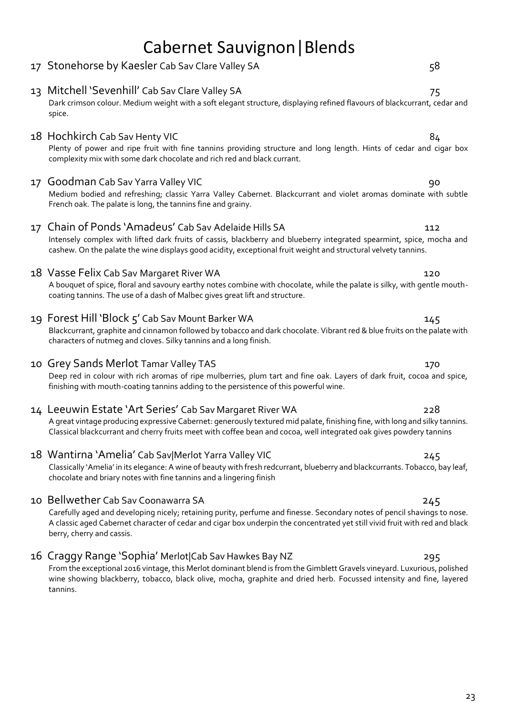# Cabernet Sauvignon|Blends

Dark crimson colour. Medium weight with a soft elegant structure, displaying refined flavours of blackcurrant, cedar and

# 17 Stonehorse by Kaesler Cab Sav Clare Valley SA 58

## spice. 18 Hochkirch Cab Sav Henty VIC 84 Plenty of power and ripe fruit with fine tannins providing structure and long length. Hints of cedar and cigar box complexity mix with some dark chocolate and rich red and black currant.

13 Mitchell 'Sevenhill' Cab Sav Clare Valley SA 75

## 17 Goodman Cab Sav Yarra Valley VIC 90

Medium bodied and refreshing; classic Yarra Valley Cabernet. Blackcurrant and violet aromas dominate with subtle French oak. The palate is long, the tannins fine and grainy.

## 17 Chain of Ponds 'Amadeus' Cab Sav Adelaide Hills SA 112

Intensely complex with lifted dark fruits of cassis, blackberry and blueberry integrated spearmint, spice, mocha and cashew. On the palate the wine displays good acidity, exceptional fruit weight and structural velvety tannins.

## 18 Vasse Felix Cab Sav Margaret River WA 120

A bouquet of spice, floral and savoury earthy notes combine with chocolate, while the palate is silky, with gentle mouthcoating tannins. The use of a dash of Malbec gives great lift and structure.

## 19 Forest Hill 'Block 5' Cab Sav Mount Barker WA 145

Blackcurrant, graphite and cinnamon followed by tobacco and dark chocolate. Vibrant red & blue fruits on the palate with characters of nutmeg and cloves. Silky tannins and a long finish.

## 10 Grey Sands Merlot Tamar Valley TAS 170

Deep red in colour with rich aromas of ripe mulberries, plum tart and fine oak. Layers of dark fruit, cocoa and spice, finishing with mouth-coating tannins adding to the persistence of this powerful wine.

## 14 Leeuwin Estate 'Art Series' Cab Sav Margaret River WA 228

A great vintage producing expressive Cabernet: generously textured mid palate, finishing fine, with long and silky tannins. Classical blackcurrant and cherry fruits meet with coffee bean and cocoa, well integrated oak gives powdery tannins

## 18 Wantirna 'Amelia' Cab Sav|Merlot Yarra Valley VIC 745

Classically 'Amelia' in its elegance: A wine of beauty with fresh redcurrant, blueberry and blackcurrants. Tobacco, bay leaf, chocolate and briary notes with fine tannins and a lingering finish

## 10 Bellwether Cab Sav Coonawarra SA 245

Carefully aged and developing nicely; retaining purity, perfume and finesse. Secondary notes of pencil shavings to nose. A classic aged Cabernet character of cedar and cigar box underpin the concentrated yet still vivid fruit with red and black berry, cherry and cassis.

## 16 Craggy Range 'Sophia' Merlot|Cab Sav Hawkes Bay NZ 295

From the exceptional 2016 vintage, this Merlot dominant blend is from the Gimblett Gravels vineyard. Luxurious, polished wine showing blackberry, tobacco, black olive, mocha, graphite and dried herb. Focussed intensity and fine, layered tannins.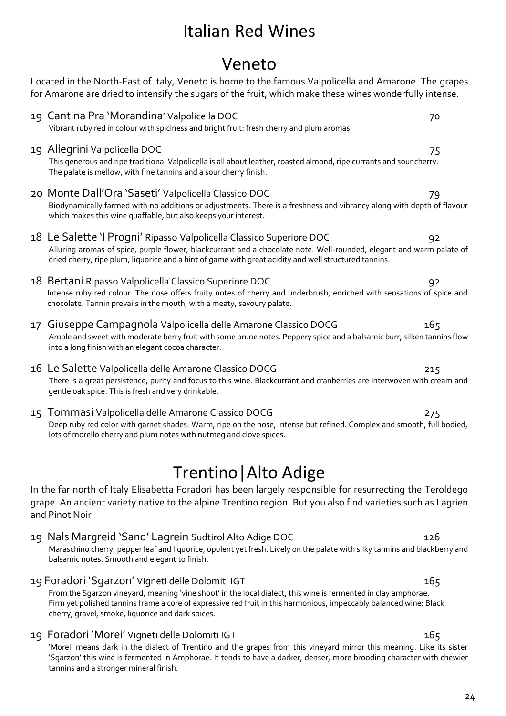# Veneto Located in the North-East of Italy, Veneto is home to the famous Valpolicella and Amarone. The grapes

for Amarone are dried to intensify the sugars of the fruit, which make these wines wonderfully intense. 19 Cantina Pra 'Morandina' Valpolicella DOC 70 Vibrant ruby red in colour with spiciness and bright fruit: fresh cherry and plum aromas. 19 Allegrini Valpolicella DOC 75 This generous and ripe traditional Valpolicella is all about leather, roasted almond, ripe currants and sour cherry. The palate is mellow, with fine tannins and a sour cherry finish. 20 Monte Dall'Ora 'Saseti' Valpolicella Classico DOC 79 Biodynamically farmed with no additions or adjustments. There is a freshness and vibrancy along with depth of flavour which makes this wine quaffable, but also keeps your interest. 18 Le Salette 'I Progni' Ripasso Valpolicella Classico Superiore DOC 92 Alluring aromas of spice, purple flower, blackcurrant and a chocolate note. Well-rounded, elegant and warm palate of dried cherry, ripe plum, liquorice and a hint of game with great acidity and well structured tannins. 18 Bertani Ripasso Valpolicella Classico Superiore DOC 92 Intense ruby red colour. The nose offers fruity notes of cherry and underbrush, enriched with sensations of spice and chocolate. Tannin prevails in the mouth, with a meaty, savoury palate. 17 Giuseppe Campagnola Valpolicella delle Amarone Classico DOCG 165 Ample and sweet with moderate berry fruit with some prune notes. Peppery spice and a balsamic burr, silken tannins flow into a long finish with an elegant cocoa character. 16 Le Salette Valpolicella delle Amarone Classico DOCG 215 There is a great persistence, purity and focus to this wine. Blackcurrant and cranberries are interwoven with cream and gentle oak spice. This is fresh and very drinkable. 15 Tommasi Valpolicella delle Amarone Classico DOCG 275 Deep ruby red color with garnet shades. Warm, ripe on the nose, intense but refined. Complex and smooth, full bodied, lots of morello cherry and plum notes with nutmeg and clove spices.

# Trentino|Alto Adige

In the far north of Italy Elisabetta Foradori has been largely responsible for resurrecting the Teroldego grape. An ancient variety native to the alpine Trentino region. But you also find varieties such as Lagrien and Pinot Noir

19 Nals Margreid 'Sand' Lagrein Sudtirol Alto Adige DOC 126

Maraschino cherry, pepper leaf and liquorice, opulent yet fresh. Lively on the palate with silky tannins and blackberry and balsamic notes. Smooth and elegant to finish.

- 19 Foradori 'Sgarzon' Vigneti delle Dolomiti IGT 165 From the Sgarzon vineyard, meaning 'vine shoot' in the local dialect, this wine is fermented in clay amphorae. Firm yet polished tannins frame a core of expressive red fruit in this harmonious, impeccably balanced wine: Black cherry, gravel, smoke, liquorice and dark spices.
- 19 Foradori 'Morei' Vigneti delle Dolomiti IGT 165 'Morei' means dark in the dialect of Trentino and the grapes from this vineyard mirror this meaning. Like its sister 'Sgarzon' this wine is fermented in Amphorae. It tends to have a darker, denser, more brooding character with chewier tannins and a stronger mineral finish.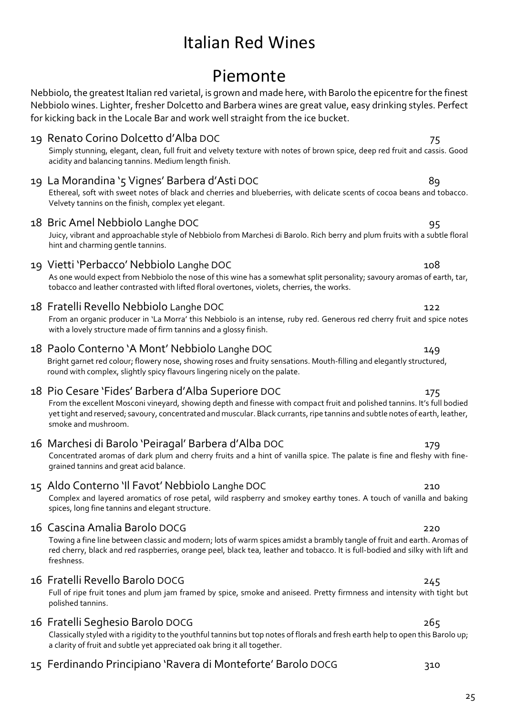# Piemonte

Nebbiolo, the greatest Italian red varietal, is grown and made here, with Barolo the epicentre for the finest Nebbiolo wines. Lighter, fresher Dolcetto and Barbera wines are great value, easy drinking styles. Perfect for kicking back in the Locale Bar and work well straight from the ice bucket.

## 19 Renato Corino Dolcetto d'Alba DOC 75 Simply stunning, elegant, clean, full fruit and velvety texture with notes of brown spice, deep red fruit and cassis. Good acidity and balancing tannins. Medium length finish. 19 La Morandina '5 Vignes' Barbera d'Asti DOC 89 Ethereal, soft with sweet notes of black and cherries and blueberries, with delicate scents of cocoa beans and tobacco. Velvety tannins on the finish, complex yet elegant. 18 Bric Amel Nebbiolo Langhe DOC 95 Juicy, vibrant and approachable style of Nebbiolo from Marchesi di Barolo. Rich berry and plum fruits with a subtle floral hint and charming gentle tannins. 19 Vietti 'Perbacco' Nebbiolo Langhe DOC 108 As one would expect from Nebbiolo the nose of this wine has a somewhat split personality; savoury aromas of earth, tar, tobacco and leather contrasted with lifted floral overtones, violets, cherries, the works. 18 Fratelli Revello Nebbiolo Langhe DOC 122 From an organic producer in 'La Morra' this Nebbiolo is an intense, ruby red. Generous red cherry fruit and spice notes with a lovely structure made of firm tannins and a glossy finish. 18 Paolo Conterno 'A Mont' Nebbiolo Langhe DOC 149 Bright garnet red colour; flowery nose, showing roses and fruity sensations. Mouth-filling and elegantly structured, round with complex, slightly spicy flavours lingering nicely on the palate. 18 Pio Cesare 'Fides' Barbera d'Alba Superiore DOC 175 From the excellent Mosconi vineyard, showing depth and finesse with compact fruit and polished tannins. It's full bodied yet tight and reserved; savoury, concentrated and muscular. Black currants, ripe tannins and subtle notes of earth, leather, smoke and mushroom. 16 Marchesi di Barolo 'Peiragal' Barbera d'Alba DOC 179 Concentrated aromas of dark plum and cherry fruits and a hint of vanilla spice. The palate is fine and fleshy with finegrained tannins and great acid balance. 15 Aldo Conterno 'Il Favot' Nebbiolo Langhe DOC 210 Complex and layered aromatics of rose petal, wild raspberry and smokey earthy tones. A touch of vanilla and baking spices, long fine tannins and elegant structure. 16 Cascina Amalia Barolo DOCG 220 Towing a fine line between classic and modern; lots of warm spices amidst a brambly tangle of fruit and earth. Aromas of red cherry, black and red raspberries, orange peel, black tea, leather and tobacco. It is full-bodied and silky with lift and freshness. 16 Fratelli Revello Barolo DOCG 245 Full of ripe fruit tones and plum jam framed by spice, smoke and aniseed. Pretty firmness and intensity with tight but polished tannins.

## 16 Fratelli Seghesio Barolo DOCG 265

Classically styled with a rigidity to the youthful tannins but top notes of florals and fresh earth help to open this Barolo up; a clarity of fruit and subtle yet appreciated oak bring it all together.

15 Ferdinando Principiano 'Ravera di Monteforte' Barolo DOCG 310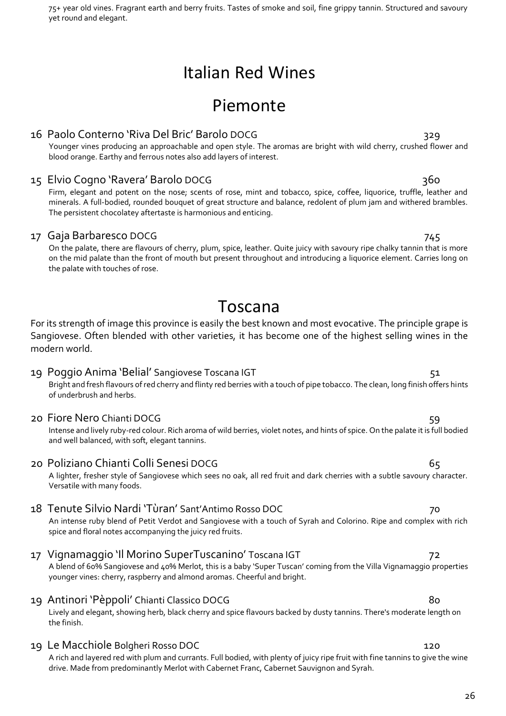| 75+ year old vines. Fragrant earth and berry fruits. Tastes of smoke and soil, fine grippy tannin. Structured and savoury |  |  |
|---------------------------------------------------------------------------------------------------------------------------|--|--|
| yet round and elegant.                                                                                                    |  |  |

# Piemonte

## 16 Paolo Conterno 'Riva Del Bric' Barolo DOCG 329

Younger vines producing an approachable and open style. The aromas are bright with wild cherry, crushed flower and blood orange. Earthy and ferrous notes also add layers of interest.

## 15 Elvio Cogno 'Ravera' Barolo DOCG 360

Firm, elegant and potent on the nose; scents of rose, mint and tobacco, spice, coffee, liquorice, truffle, leather and minerals. A full-bodied, rounded bouquet of great structure and balance, redolent of plum jam and withered brambles. The persistent chocolatey aftertaste is harmonious and enticing.

## 17 Gaja Barbaresco DOCG 745

On the palate, there are flavours of cherry, plum, spice, leather. Quite juicy with savoury ripe chalky tannin that is more on the mid palate than the front of mouth but present throughout and introducing a liquorice element. Carries long on the palate with touches of rose.

# Toscana

For its strength of image this province is easily the best known and most evocative. The principle grape is Sangiovese. Often blended with other varieties, it has become one of the highest selling wines in the modern world.

### 19 Poggio Anima 'Belial' Sangiovese Toscana IGT 51 Bright and fresh flavours of red cherry and flinty red berries with a touch of pipe tobacco. The clean, long finish offers hints of underbrush and herbs.

## 20 Fiore Nero Chianti DOCG 59

Intense and lively ruby-red colour. Rich aroma of wild berries, violet notes, and hints of spice. On the palate it is full bodied and well balanced, with soft, elegant tannins.

## 20 Poliziano Chianti Colli Senesi DOCG 65

A lighter, fresher style of Sangiovese which sees no oak, all red fruit and dark cherries with a subtle savoury character. Versatile with many foods.

## 18 Tenute Silvio Nardi 'Tùran' Sant'Antimo Rosso DOC 70

An intense ruby blend of Petit Verdot and Sangiovese with a touch of Syrah and Colorino. Ripe and complex with rich spice and floral notes accompanying the juicy red fruits.

## 17 Vignamaggio 'Il Morino SuperTuscanino' Toscana IGT 72

A blend of 60% Sangiovese and 40% Merlot, this is a baby 'Super Tuscan' coming from the Villa Vignamaggio properties younger vines: cherry, raspberry and almond aromas. Cheerful and bright.

## 19 Antinori 'Pèppoli' Chianti Classico DOCG 80

Lively and elegant, showing herb, black cherry and spice flavours backed by dusty tannins. There's moderate length on the finish.

## 19 Le Macchiole Bolgheri Rosso DOC 120

A rich and layered red with plum and currants. Full bodied, with plenty of juicy ripe fruit with fine tannins to give the wine drive. Made from predominantly Merlot with Cabernet Franc, Cabernet Sauvignon and Syrah.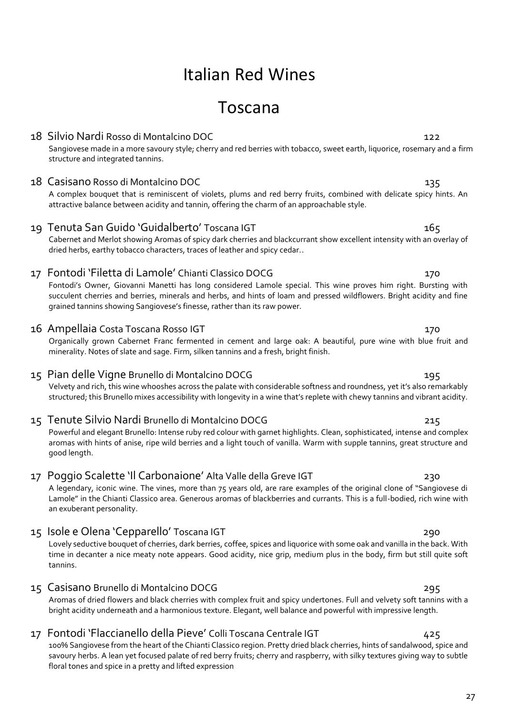# Toscana

## 18 Silvio Nardi Rosso di Montalcino DOC 122

Sangiovese made in a more savoury style; cherry and red berries with tobacco, sweet earth, liquorice, rosemary and a firm structure and integrated tannins.

## 18 Casisano Rosso di Montalcino DOC 135

A complex bouquet that is reminiscent of violets, plums and red berry fruits, combined with delicate spicy hints. An attractive balance between acidity and tannin, offering the charm of an approachable style.

## 19 Tenuta San Guido 'Guidalberto' Toscana IGT 165

Cabernet and Merlot showing Aromas of spicy dark cherries and blackcurrant show excellent intensity with an overlay of dried herbs, earthy tobacco characters, traces of leather and spicy cedar..

## 17 Fontodi 'Filetta di Lamole' Chianti Classico DOCG 170

Fontodi's Owner, Giovanni Manetti has long considered Lamole special. This wine proves him right. Bursting with succulent cherries and berries, minerals and herbs, and hints of loam and pressed wildflowers. Bright acidity and fine grained tannins showing Sangiovese's finesse, rather than its raw power.

## 16 Ampellaia Costa Toscana Rosso IGT 170

Organically grown Cabernet Franc fermented in cement and large oak: A beautiful, pure wine with blue fruit and minerality. Notes of slate and sage. Firm, silken tannins and a fresh, bright finish.

## 15 Pian delle Vigne Brunello di Montalcino DOCG 195

Velvety and rich, this wine whooshes across the palate with considerable softness and roundness, yet it's also remarkably structured; this Brunello mixes accessibility with longevity in a wine that's replete with chewy tannins and vibrant acidity.

## 15 Tenute Silvio Nardi Brunello di Montalcino DOCG 215

Powerful and elegant Brunello: Intense ruby red colour with garnet highlights. Clean, sophisticated, intense and complex aromas with hints of anise, ripe wild berries and a light touch of vanilla. Warm with supple tannins, great structure and good length.

## 17 Poggio Scalette 'Il Carbonaione' Alta Valle della Greve IGT 230

A legendary, iconic wine. The vines, more than 75 years old, are rare examples of the original clone of "Sangiovese di Lamole" in the Chianti Classico area. Generous aromas of blackberries and currants. This is a full-bodied, rich wine with an exuberant personality.

## 15 Isole e Olena 'Cepparello' Toscana IGT 290

Lovely seductive bouquet of cherries, dark berries, coffee, spices and liquorice with some oak and vanilla in the back. With time in decanter a nice meaty note appears. Good acidity, nice grip, medium plus in the body, firm but still quite soft tannins.

## 15 Casisano Brunello di Montalcino DOCG 295

Aromas of dried flowers and black cherries with complex fruit and spicy undertones. Full and velvety soft tannins with a bright acidity underneath and a harmonious texture. Elegant, well balance and powerful with impressive length.

## 17 Fontodi 'Flaccianello della Pieve' Colli Toscana Centrale IGT 425

100% Sangiovese from the heart of the Chianti Classico region. Pretty dried black cherries, hints of sandalwood, spice and savoury herbs. A lean yet focused palate of red berry fruits; cherry and raspberry, with silky textures giving way to subtle floral tones and spice in a pretty and lifted expression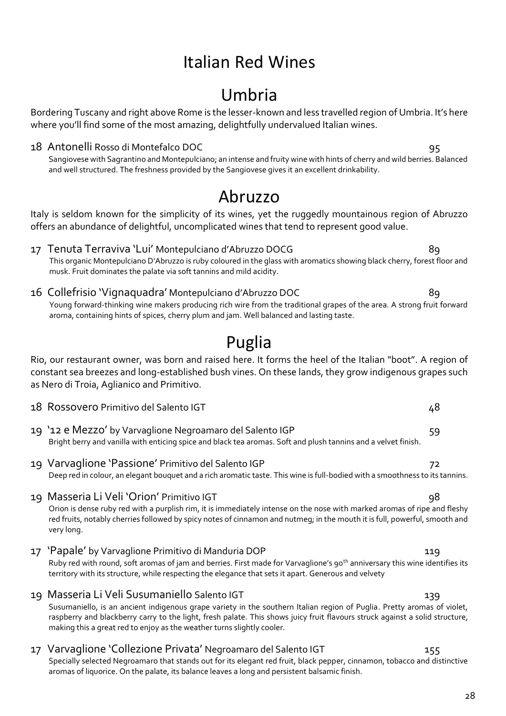# Umbria

Bordering Tuscany and right above Rome is the lesser-known and less travelled region of Umbria. It's here where you'll find some of the most amazing, delightfully undervalued Italian wines.

### 18 Antonelli Rosso di Montefalco DOC 95

Sangiovese with Sagrantino and Montepulciano; an intense and fruity wine with hints of cherry and wild berries. Balanced and well structured. The freshness provided by the Sangiovese gives it an excellent drinkability.

# Abruzzo

Italy is seldom known for the simplicity of its wines, yet the ruggedly mountainous region of Abruzzo offers an abundance of delightful, uncomplicated wines that tend to represent good value.

- 17 Tenuta Terraviva 'Lui' Montepulciano d'Abruzzo DOCG 89 This organic Montepulciano D'Abruzzo is ruby coloured in the glass with aromatics showing black cherry, forest floor and musk. Fruit dominates the palate via soft tannins and mild acidity.
- 16 Collefrisio 'Vignaquadra' Montepulciano d'Abruzzo DOC 89 Young forward-thinking wine makers producing rich wire from the traditional grapes of the area. A strong fruit forward aroma, containing hints of spices, cherry plum and jam. Well balanced and lasting taste.

# Puglia

Rio, our restaurant owner, was born and raised here. It forms the heel of the Italian "boot". A region of constant sea breezes and long-established bush vines. On these lands, they grow indigenous grapes such as Nero di Troia, Aglianico and Primitivo.

- 18 Rossovero Primitivo del Salento IGT anno 1992 a contra la contra la contra del 2008 del 2014 a Casa del 20
- 19 '12 e Mezzo' by Varvaglione Negroamaro del Salento IGP 59 Bright berry and vanilla with enticing spice and black tea aromas. Soft and plush tannins and a velvet finish.
- 19 Varvaglione 'Passione' Primitivo del Salento IGP 72 Deep red in colour, an elegant bouquet and a rich aromatic taste. This wine is full-bodied with a smoothness to its tannins.
- 19 Masseria Li Veli 'Orion' Primitivo IGT 98 Orion is dense ruby red with a purplish rim, it is immediately intense on the nose with marked aromas of ripe and fleshy red fruits, notably cherries followed by spicy notes of cinnamon and nutmeg; in the mouth it is full, powerful, smooth and very long.
- 17 'Papale' by Varvaglione Primitivo di Manduria DOP 119 Ruby red with round, soft aromas of jam and berries. First made for Varvaglione's 90<sup>th</sup> anniversary this wine identifies its territory with its structure, while respecting the elegance that sets it apart. Generous and velvety
- 19 Masseria Li Veli Susumaniello Salento IGT 139 Susumaniello, is an ancient indigenous grape variety in the southern Italian region of Puglia. Pretty aromas of violet, raspberry and blackberry carry to the light, fresh palate. This shows juicy fruit flavours struck against a solid structure, making this a great red to enjoy as the weather turns slightly cooler.

# 17 Varvaglione 'Collezione Privata' Negroamaro del Salento IGT 155

Specially selected Negroamaro that stands out for its elegant red fruit, black pepper, cinnamon, tobacco and distinctive aromas of liquorice. On the palate, its balance leaves a long and persistent balsamic finish.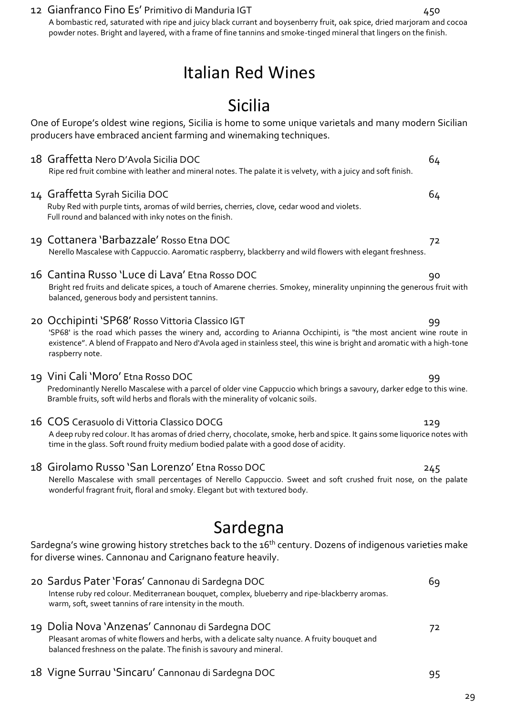## 12 Gianfranco Fino Es' Primitivo di Manduria IGT 450

A bombastic red, saturated with ripe and juicy black currant and boysenberry fruit, oak spice, dried marjoram and cocoa powder notes. Bright and layered, with a frame of fine tannins and smoke-tinged mineral that lingers on the finish.

# Italian Red Wines

# Sicilia

One of Europe's oldest wine regions, Sicilia is home to some unique varietals and many modern Sicilian producers have embraced ancient farming and winemaking techniques.

18 Graffetta Nero D'Avola Sicilia DOC 64 Ripe red fruit combine with leather and mineral notes. The palate it is velvety, with a juicy and soft finish.

## 14 Graffetta Syrah Sicilia DOC 64

Ruby Red with purple tints, aromas of wild berries, cherries, clove, cedar wood and violets. Full round and balanced with inky notes on the finish.

19 Cottanera 'Barbazzale' Rosso Etna DOC 72

Nerello Mascalese with Cappuccio. Aaromatic raspberry, blackberry and wild flowers with elegant freshness.

## 16 Cantina Russo 'Luce di Lava' Etna Rosso DOC 90

Bright red fruits and delicate spices, a touch of Amarene cherries. Smokey, minerality unpinning the generous fruit with balanced, generous body and persistent tannins.

## 20 Occhipinti 'SP68' Rosso Vittoria Classico IGT 799 1999

'SP68' is the road which passes the winery and, according to Arianna Occhipinti, is "the most ancient wine route in existence". A blend of Frappato and Nero d'Avola aged in stainless steel, this wine is bright and aromatic with a high-tone raspberry note.

## 19 Vini Cali 'Moro' Etna Rosso DOC 99

Predominantly Nerello Mascalese with a parcel of older vine Cappuccio which brings a savoury, darker edge to this wine. Bramble fruits, soft wild herbs and florals with the minerality of volcanic soils.

## 16 COS Cerasuolo di Vittoria Classico DOCG 129

A deep ruby red colour. It has aromas of dried cherry, chocolate, smoke, herb and spice. It gains some liquorice notes with time in the glass. Soft round fruity medium bodied palate with a good dose of acidity.

## 18 Girolamo Russo 'San Lorenzo' Etna Rosso DOC 245

Nerello Mascalese with small percentages of Nerello Cappuccio. Sweet and soft crushed fruit nose, on the palate wonderful fragrant fruit, floral and smoky. Elegant but with textured body.

# Sardegna

Sardegna's wine growing history stretches back to the 16<sup>th</sup> century. Dozens of indigenous varieties make for diverse wines. Cannonau and Carignano feature heavily.

- 20 Sardus Pater 'Foras' Cannonau di Sardegna DOC 69 Intense ruby red colour. Mediterranean bouquet, complex, blueberry and ripe-blackberry aromas. warm, soft, sweet tannins of rare intensity in the mouth. 19 Dolia Nova 'Anzenas' Cannonau di Sardegna DOC 72 Pleasant aromas of white flowers and herbs, with a delicate salty nuance. A fruity bouquet and balanced freshness on the palate. The finish is savoury and mineral.
- 18 Vigne Surrau 'Sincaru' Cannonau di Sardegna DOC 95